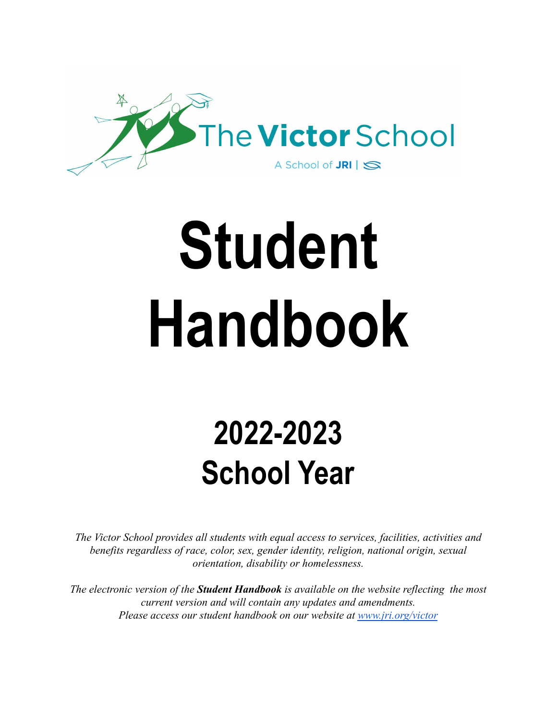

# **Student Handbook**

## **2022-2023 School Year**

*The Victor School provides all students with equal access to services, facilities, activities and benefits regardless of race, color, sex, gender identity, religion, national origin, sexual orientation, disability or homelessness.*

*The electronic version of the Student Handbook is available on the website reflecting the most current version and will contain any updates and amendments. Please access our student handbook on our website at [www.jri.org/victor](http://www.jri.org/victor)*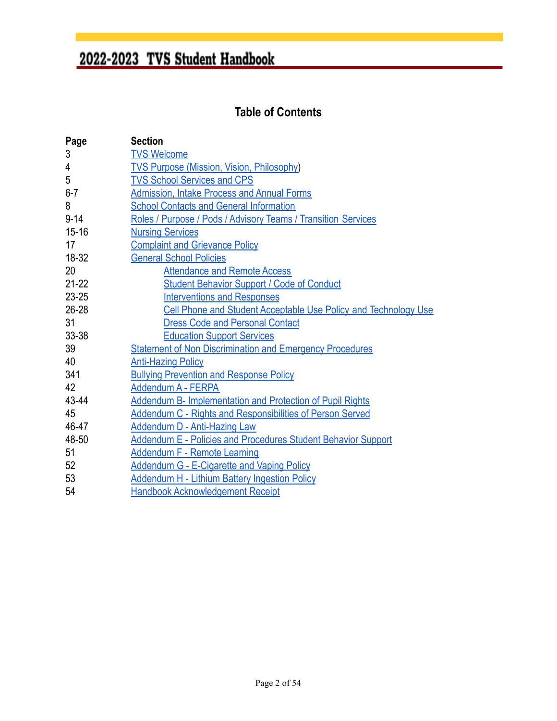### **Table of Contents**

| Page      | <b>Section</b>                                                       |  |
|-----------|----------------------------------------------------------------------|--|
| 3         | <b>TVS Welcome</b>                                                   |  |
| 4         | <b>TVS Purpose (Mission, Vision, Philosophy)</b>                     |  |
| 5         | <b>TVS School Services and CPS</b>                                   |  |
| $6 - 7$   | <b>Admission, Intake Process and Annual Forms</b>                    |  |
| 8         | <b>School Contacts and General Information</b>                       |  |
| $9 - 14$  | Roles / Purpose / Pods / Advisory Teams / Transition Services        |  |
| $15 - 16$ | <b>Nursing Services</b>                                              |  |
| 17        | <b>Complaint and Grievance Policy</b>                                |  |
| 18-32     | <b>General School Policies</b>                                       |  |
| 20        | <b>Attendance and Remote Access</b>                                  |  |
| $21 - 22$ | <b>Student Behavior Support / Code of Conduct</b>                    |  |
| $23 - 25$ | <b>Interventions and Responses</b>                                   |  |
| $26 - 28$ | Cell Phone and Student Acceptable Use Policy and Technology Use      |  |
| 31        | <b>Dress Code and Personal Contact</b>                               |  |
| 33-38     | <b>Education Support Services</b>                                    |  |
| 39        | <b>Statement of Non Discrimination and Emergency Procedures</b>      |  |
| 40        | <b>Anti-Hazing Policy</b>                                            |  |
| 341       | <b>Bullying Prevention and Response Policy</b>                       |  |
| 42        | Addendum A - FERPA                                                   |  |
| 43-44     | Addendum B- Implementation and Protection of Pupil Rights            |  |
| 45        | <b>Addendum C - Rights and Responsibilities of Person Served</b>     |  |
| 46-47     | <b>Addendum D - Anti-Hazing Law</b>                                  |  |
| 48-50     | <b>Addendum E - Policies and Procedures Student Behavior Support</b> |  |
| 51        | <b>Addendum F - Remote Learning</b>                                  |  |
| 52        | <b>Addendum G - E-Cigarette and Vaping Policy</b>                    |  |
| 53        | <b>Addendum H - Lithium Battery Ingestion Policy</b>                 |  |
| 54        | <b>Handbook Acknowledgement Receipt</b>                              |  |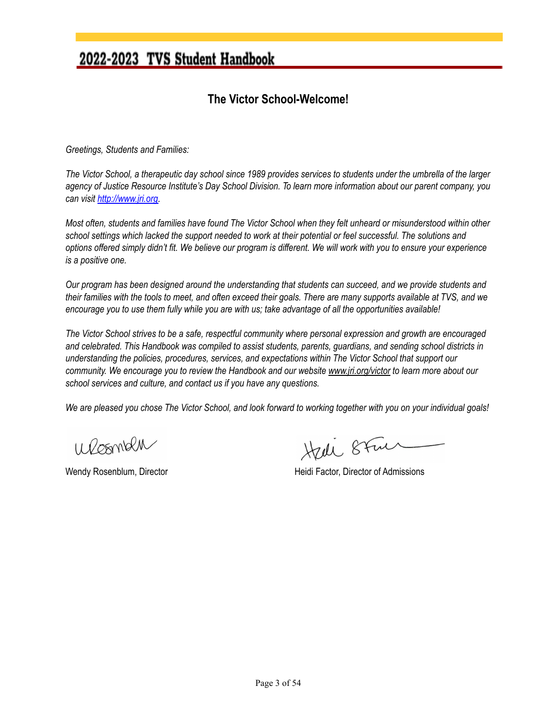#### **The Victor School-Welcome!**

<span id="page-2-0"></span>*Greetings, Students and Families:*

The Victor School, a therapeutic day school since 1989 provides services to students under the umbrella of the larger agency of Justice Resource Institute's Day School Division. To learn more information about our parent company, you *can visit <http://www.jri.org>*.

Most often, students and families have found The Victor School when they felt unheard or misunderstood within other school settings which lacked the support needed to work at their potential or feel successful. The solutions and options offered simply didn't fit. We believe our program is different. We will work with you to ensure your experience *is a positive one.*

Our program has been designed around the understanding that students can succeed, and we provide students and their families with the tools to meet, and often exceed their goals. There are many supports available at TVS, and we encourage you to use them fully while you are with us; take advantage of all the opportunities available!

The Victor School strives to be a safe, respectful community where personal expression and growth are encouraged and celebrated. This Handbook was compiled to assist students, parents, guardians, and sending school districts in *understanding the policies, procedures, services, and expectations within The Victor School that support our* community. We encourage you to review the Handbook and our website [www.jri.org/victor](http://www.jri.org/victor) to learn more about our *school services and culture, and contact us if you have any questions.*

We are pleased you chose The Victor School, and look forward to working together with you on your individual goals!

Wesman

Hedi 8Fm

Wendy Rosenblum, Director **Matter and Accord Heidi Factor, Director of Admissions**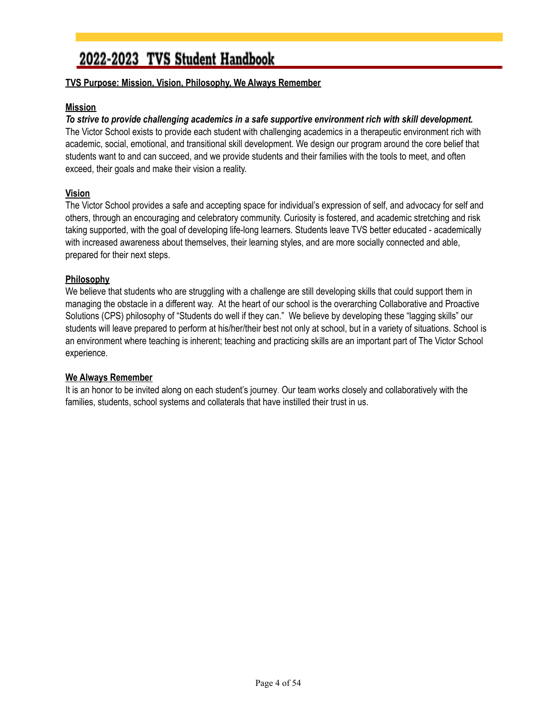#### **TVS Purpose: Mission, Vision, Philosophy, We Always Remember**

#### **Mission**

#### *To strive to provide challenging academics in a safe supportive environment rich with skill development.*

The Victor School exists to provide each student with challenging academics in a therapeutic environment rich with academic, social, emotional, and transitional skill development. We design our program around the core belief that students want to and can succeed, and we provide students and their families with the tools to meet, and often exceed, their goals and make their vision a reality.

#### **Vision**

The Victor School provides a safe and accepting space for individual's expression of self, and advocacy for self and others, through an encouraging and celebratory community. Curiosity is fostered, and academic stretching and risk taking supported, with the goal of developing life-long learners. Students leave TVS better educated - academically with increased awareness about themselves, their learning styles, and are more socially connected and able, prepared for their next steps.

#### **Philosophy**

We believe that students who are struggling with a challenge are still developing skills that could support them in managing the obstacle in a different way. At the heart of our school is the overarching Collaborative and Proactive Solutions (CPS) philosophy of "Students do well if they can." We believe by developing these "lagging skills" our students will leave prepared to perform at his/her/their best not only at school, but in a variety of situations. School is an environment where teaching is inherent; teaching and practicing skills are an important part of The Victor School experience.

#### **We Always Remember**

It is an honor to be invited along on each student's journey. Our team works closely and collaboratively with the families, students, school systems and collaterals that have instilled their trust in us.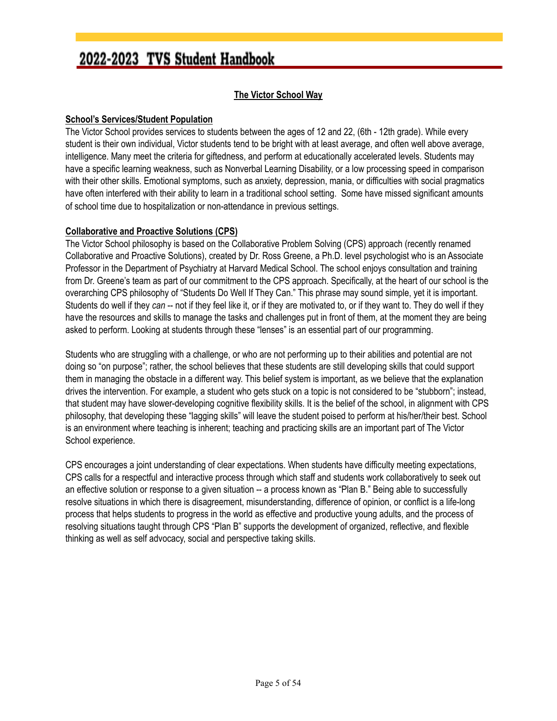#### **The Victor School Way**

#### **School's Services/Student Population**

The Victor School provides services to students between the ages of 12 and 22, (6th - 12th grade). While every student is their own individual, Victor students tend to be bright with at least average, and often well above average, intelligence. Many meet the criteria for giftedness, and perform at educationally accelerated levels. Students may have a specific learning weakness, such as Nonverbal Learning Disability, or a low processing speed in comparison with their other skills. Emotional symptoms, such as anxiety, depression, mania, or difficulties with social pragmatics have often interfered with their ability to learn in a traditional school setting. Some have missed significant amounts of school time due to hospitalization or non-attendance in previous settings.

#### **Collaborative and Proactive Solutions (CPS)**

The Victor School philosophy is based on the Collaborative Problem Solving (CPS) approach (recently renamed Collaborative and Proactive Solutions), created by Dr. Ross Greene, a Ph.D. level psychologist who is an Associate Professor in the Department of Psychiatry at Harvard Medical School. The school enjoys consultation and training from Dr. Greene's team as part of our commitment to the CPS approach. Specifically, at the heart of our school is the overarching CPS philosophy of "Students Do Well If They Can." This phrase may sound simple, yet it is important. Students do well if they *can* -- not if they feel like it, or if they are motivated to, or if they want to. They do well if they have the resources and skills to manage the tasks and challenges put in front of them, at the moment they are being asked to perform. Looking at students through these "lenses" is an essential part of our programming.

Students who are struggling with a challenge, or who are not performing up to their abilities and potential are not doing so "on purpose"; rather, the school believes that these students are still developing skills that could support them in managing the obstacle in a different way. This belief system is important, as we believe that the explanation drives the intervention. For example, a student who gets stuck on a topic is not considered to be "stubborn"; instead, that student may have slower-developing cognitive flexibility skills. It is the belief of the school, in alignment with CPS philosophy, that developing these "lagging skills" will leave the student poised to perform at his/her/their best. School is an environment where teaching is inherent; teaching and practicing skills are an important part of The Victor School experience.

CPS encourages a joint understanding of clear expectations. When students have difficulty meeting expectations, CPS calls for a respectful and interactive process through which staff and students work collaboratively to seek out an effective solution or response to a given situation -- a process known as "Plan B." Being able to successfully resolve situations in which there is disagreement, misunderstanding, difference of opinion, or conflict is a life-long process that helps students to progress in the world as effective and productive young adults, and the process of resolving situations taught through CPS "Plan B" supports the development of organized, reflective, and flexible thinking as well as self advocacy, social and perspective taking skills.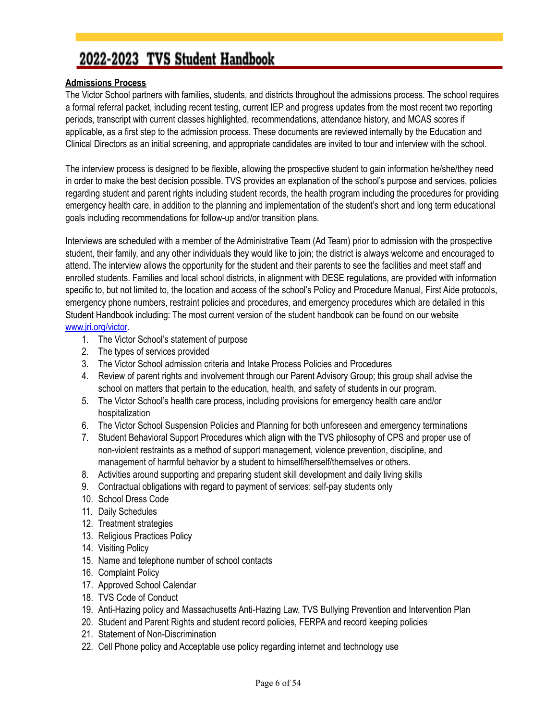#### <span id="page-5-0"></span>**Admissions Process**

The Victor School partners with families, students, and districts throughout the admissions process. The school requires a formal referral packet, including recent testing, current IEP and progress updates from the most recent two reporting periods, transcript with current classes highlighted, recommendations, attendance history, and MCAS scores if applicable, as a first step to the admission process. These documents are reviewed internally by the Education and Clinical Directors as an initial screening, and appropriate candidates are invited to tour and interview with the school.

The interview process is designed to be flexible, allowing the prospective student to gain information he/she/they need in order to make the best decision possible. TVS provides an explanation of the school's purpose and services, policies regarding student and parent rights including student records, the health program including the procedures for providing emergency health care, in addition to the planning and implementation of the student's short and long term educational goals including recommendations for follow-up and/or transition plans.

Interviews are scheduled with a member of the Administrative Team (Ad Team) prior to admission with the prospective student, their family, and any other individuals they would like to join; the district is always welcome and encouraged to attend. The interview allows the opportunity for the student and their parents to see the facilities and meet staff and enrolled students. Families and local school districts, in alignment with DESE regulations, are provided with information specific to, but not limited to, the location and access of the school's Policy and Procedure Manual, First Aide protocols, emergency phone numbers, restraint policies and procedures, and emergency procedures which are detailed in this Student Handbook including: The most current version of the student handbook can be found on our website [www.jri.org/victor](http://www.jri.org/victor).

- 1. The Victor School's statement of purpose
- 2. The types of services provided
- 3. The Victor School admission criteria and Intake Process Policies and Procedures
- 4. Review of parent rights and involvement through our Parent Advisory Group; this group shall advise the school on matters that pertain to the education, health, and safety of students in our program.
- 5. The Victor School's health care process, including provisions for emergency health care and/or hospitalization
- 6. The Victor School Suspension Policies and Planning for both unforeseen and emergency terminations
- 7. Student Behavioral Support Procedures which align with the TVS philosophy of CPS and proper use of non-violent restraints as a method of support management, violence prevention, discipline, and management of harmful behavior by a student to himself/herself/themselves or others.
- 8. Activities around supporting and preparing student skill development and daily living skills
- 9. Contractual obligations with regard to payment of services: self-pay students only
- 10. School Dress Code
- 11. Daily Schedules
- 12. Treatment strategies
- 13. Religious Practices Policy
- 14. Visiting Policy
- 15. Name and telephone number of school contacts
- 16. Complaint Policy
- 17. Approved School Calendar
- 18. TVS Code of Conduct
- 19. Anti-Hazing policy and Massachusetts Anti-Hazing Law, TVS Bullying Prevention and Intervention Plan
- 20. Student and Parent Rights and student record policies, FERPA and record keeping policies
- 21. Statement of Non-Discrimination
- 22. Cell Phone policy and Acceptable use policy regarding internet and technology use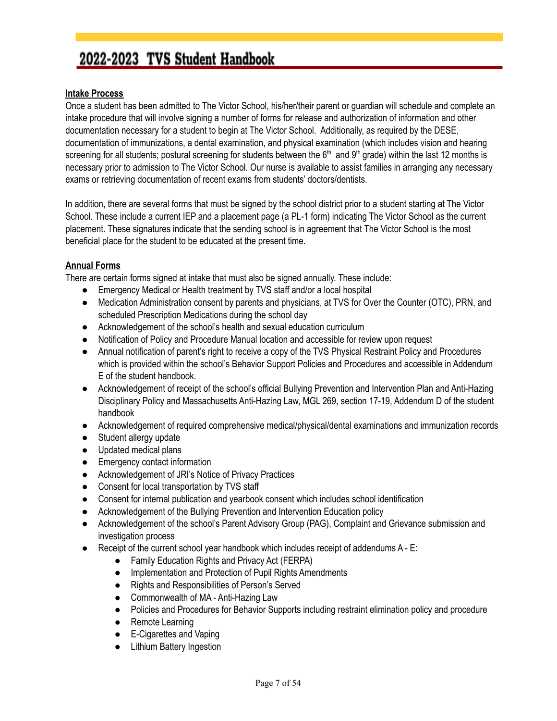#### **Intake Process**

Once a student has been admitted to The Victor School, his/her/their parent or guardian will schedule and complete an intake procedure that will involve signing a number of forms for release and authorization of information and other documentation necessary for a student to begin at The Victor School. Additionally, as required by the DESE, documentation of immunizations, a dental examination, and physical examination (which includes vision and hearing screening for all students; postural screening for students between the  $6<sup>th</sup>$  and  $9<sup>th</sup>$  grade) within the last 12 months is necessary prior to admission to The Victor School. Our nurse is available to assist families in arranging any necessary exams or retrieving documentation of recent exams from students' doctors/dentists.

In addition, there are several forms that must be signed by the school district prior to a student starting at The Victor School. These include a current IEP and a placement page (a PL-1 form) indicating The Victor School as the current placement. These signatures indicate that the sending school is in agreement that The Victor School is the most beneficial place for the student to be educated at the present time.

#### **Annual Forms**

There are certain forms signed at intake that must also be signed annually. These include:

- Emergency Medical or Health treatment by TVS staff and/or a local hospital
- Medication Administration consent by parents and physicians, at TVS for Over the Counter (OTC), PRN, and scheduled Prescription Medications during the school day
- Acknowledgement of the school's health and sexual education curriculum
- Notification of Policy and Procedure Manual location and accessible for review upon request
- Annual notification of parent's right to receive a copy of the TVS Physical Restraint Policy and Procedures which is provided within the school's Behavior Support Policies and Procedures and accessible in Addendum E of the student handbook.
- Acknowledgement of receipt of the school's official Bullying Prevention and Intervention Plan and Anti-Hazing Disciplinary Policy and Massachusetts Anti-Hazing Law, MGL 269, section 17-19, Addendum D of the student handbook
- Acknowledgement of required comprehensive medical/physical/dental examinations and immunization records
- Student allergy update
- Updated medical plans
- Emergency contact information
- Acknowledgement of JRI's Notice of Privacy Practices
- Consent for local transportation by TVS staff
- Consent for internal publication and yearbook consent which includes school identification
- Acknowledgement of the Bullying Prevention and Intervention Education policy
- Acknowledgement of the school's Parent Advisory Group (PAG), Complaint and Grievance submission and investigation process
- $\bullet$  Receipt of the current school year handbook which includes receipt of addendums  $A E$ :
	- Family Education Rights and Privacy Act (FERPA)
	- Implementation and Protection of Pupil Rights Amendments
	- Rights and Responsibilities of Person's Served
	- Commonwealth of MA Anti-Hazing Law
	- Policies and Procedures for Behavior Supports including restraint elimination policy and procedure
	- Remote Learning
	- E-Cigarettes and Vaping
	- Lithium Battery Ingestion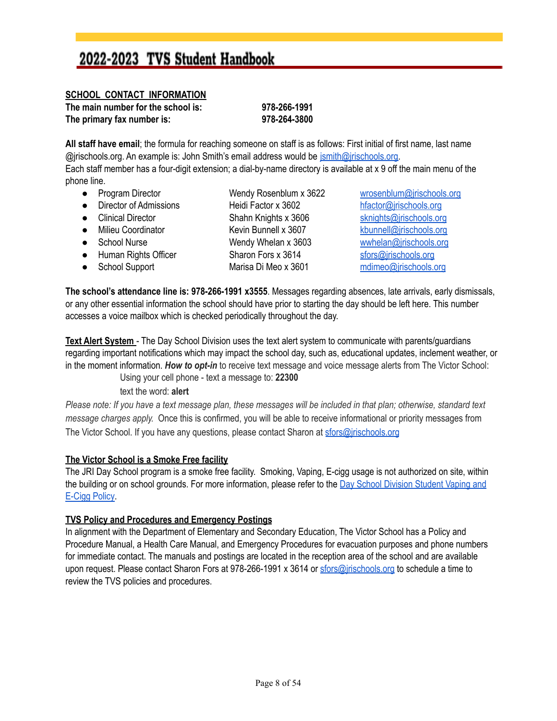#### <span id="page-7-0"></span>**SCHOOL CONTACT INFORMATION**

**The main number for the school is: 978-266-1991 The primary fax number is: 978-264-3800**

**All staff have email**; the formula for reaching someone on staff is as follows: First initial of first name, last name @jrischools.org. An example is: John Smith's email address would be [jsmith@jrischools.org.](mailto:jsmith@jrischools.org) Each staff member has a four-digit extension; a dial-by-name directory is available at x 9 off the main menu of the phone line.

● Program Director Wendy Rosenblum x 3622 [wrosenblum@jrischools.org](mailto:wrosenblum@jrischools.org) ● Director of Admissions Heidi Factor x 3602 [hfactor@jrischools.org](mailto:hfactor@jrischools.org) ● Clinical Director Shahn Knights x 3606 [sknights@jrischools.org](mailto:sknights@jrischools.org) ● Milieu Coordinator Kevin Bunnell x 3607 [kbunnell@jrischools.org](mailto:kbunnell@jrischools.org) ● School Nurse Wendy Whelan x 3603 wwhelan@irischools.org ● Human Rights Officer Sharon Fors x 3614 [sfors@jrischools.org](mailto:sfors@jrischools.org) ● School Support Marisa Di Meo x 3601 [mdimeo@jrischools.org](mailto:mdimeo@jrischools.org)

**The school's attendance line is: 978-266-1991 x3555**. Messages regarding absences, late arrivals, early dismissals, or any other essential information the school should have prior to starting the day should be left here. This number accesses a voice mailbox which is checked periodically throughout the day.

**Text Alert System** - The Day School Division uses the text alert system to communicate with parents/guardians regarding important notifications which may impact the school day, such as, educational updates, inclement weather, or in the moment information. *How to opt-in* to receive text message and voice message alerts from The Victor School:

Using your cell phone - text a message to: **22300**

text the word: **alert**

Please note: If you have a text message plan, these messages will be included in that plan; otherwise, standard text *message charges apply.* Once this is confirmed, you will be able to receive informational or priority messages from The Victor School. If you have any questions, please contact Sharon at [sfors@jrischools.org](mailto:sfors@jrischools.org)

#### **The Victor School is a Smoke Free facility**

The JRI Day School program is a smoke free facility. Smoking, Vaping, E-cigg usage is not authorized on site, within the building or on school grounds. For more information, please refer to the Day School [Division](https://drive.google.com/file/d/11k0YrymdAD1dLwZHGiMo5usAsxlxT4YI/view) Student Vaping and [E-Cigg](https://drive.google.com/file/d/11k0YrymdAD1dLwZHGiMo5usAsxlxT4YI/view) Policy.

#### **TVS Policy and Procedures and Emergency Postings**

In alignment with the Department of Elementary and Secondary Education, The Victor School has a Policy and Procedure Manual, a Health Care Manual, and Emergency Procedures for evacuation purposes and phone numbers for immediate contact. The manuals and postings are located in the reception area of the school and are available upon request. Please contact Sharon Fors at 978-266-1991 x 3614 or [sfors@jrischools.org](mailto:sfors@jrischools.org) to schedule a time to review the TVS policies and procedures.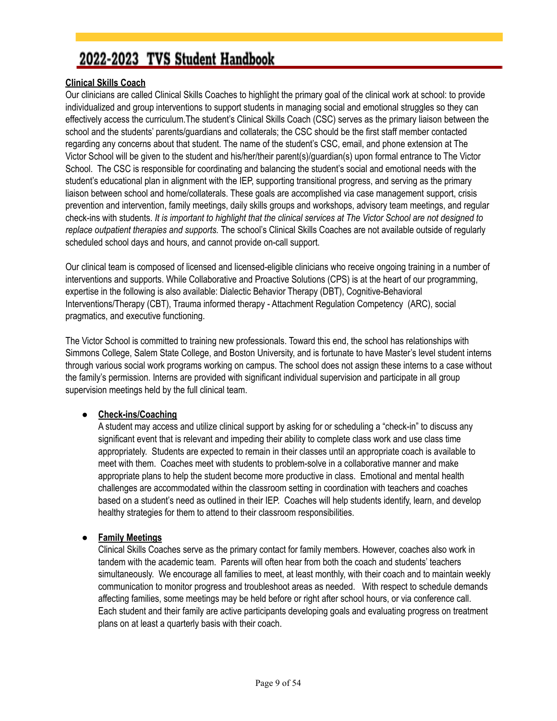#### **Clinical Skills Coach**

Our clinicians are called Clinical Skills Coaches to highlight the primary goal of the clinical work at school: to provide individualized and group interventions to support students in managing social and emotional struggles so they can effectively access the curriculum.The student's Clinical Skills Coach (CSC) serves as the primary liaison between the school and the students' parents/guardians and collaterals; the CSC should be the first staff member contacted regarding any concerns about that student. The name of the student's CSC, email, and phone extension at The Victor School will be given to the student and his/her/their parent(s)/guardian(s) upon formal entrance to The Victor School. The CSC is responsible for coordinating and balancing the student's social and emotional needs with the student's educational plan in alignment with the IEP, supporting transitional progress, and serving as the primary liaison between school and home/collaterals. These goals are accomplished via case management support, crisis prevention and intervention, family meetings, daily skills groups and workshops, advisory team meetings, and regular check-ins with students. It is important to highlight that the clinical services at The Victor School are not designed to *replace outpatient therapies and supports.* The school's Clinical Skills Coaches are not available outside of regularly scheduled school days and hours, and cannot provide on-call support.

Our clinical team is composed of licensed and licensed-eligible clinicians who receive ongoing training in a number of interventions and supports. While Collaborative and Proactive Solutions (CPS) is at the heart of our programming, expertise in the following is also available: Dialectic Behavior Therapy (DBT), Cognitive-Behavioral Interventions/Therapy (CBT), Trauma informed therapy - Attachment Regulation Competency (ARC), social pragmatics, and executive functioning.

The Victor School is committed to training new professionals. Toward this end, the school has relationships with Simmons College, Salem State College, and Boston University, and is fortunate to have Master's level student interns through various social work programs working on campus. The school does not assign these interns to a case without the family's permission. Interns are provided with significant individual supervision and participate in all group supervision meetings held by the full clinical team.

#### ● **Check-ins/Coaching**

A student may access and utilize clinical support by asking for or scheduling a "check-in" to discuss any significant event that is relevant and impeding their ability to complete class work and use class time appropriately. Students are expected to remain in their classes until an appropriate coach is available to meet with them. Coaches meet with students to problem-solve in a collaborative manner and make appropriate plans to help the student become more productive in class. Emotional and mental health challenges are accommodated within the classroom setting in coordination with teachers and coaches based on a student's need as outlined in their IEP. Coaches will help students identify, learn, and develop healthy strategies for them to attend to their classroom responsibilities.

#### ● **Family Meetings**

Clinical Skills Coaches serve as the primary contact for family members. However, coaches also work in tandem with the academic team. Parents will often hear from both the coach and students' teachers simultaneously. We encourage all families to meet, at least monthly, with their coach and to maintain weekly communication to monitor progress and troubleshoot areas as needed. With respect to schedule demands affecting families, some meetings may be held before or right after school hours, or via conference call. Each student and their family are active participants developing goals and evaluating progress on treatment plans on at least a quarterly basis with their coach.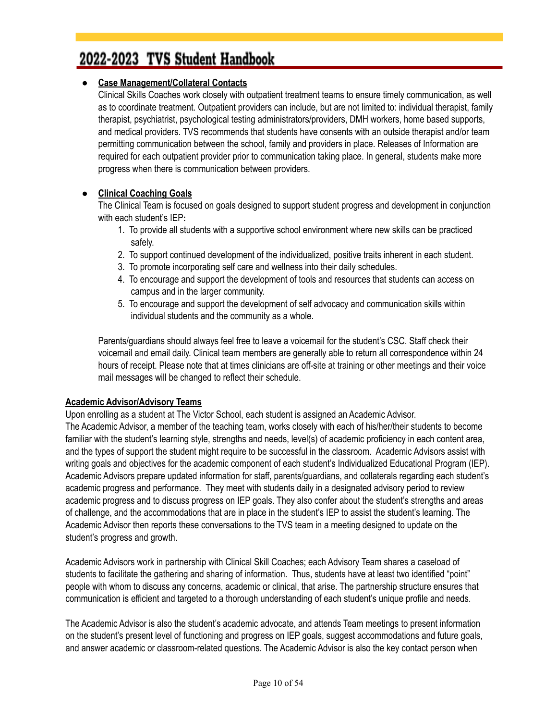#### ● **Case Management/Collateral Contacts**

Clinical Skills Coaches work closely with outpatient treatment teams to ensure timely communication, as well as to coordinate treatment. Outpatient providers can include, but are not limited to: individual therapist, family therapist, psychiatrist, psychological testing administrators/providers, DMH workers, home based supports, and medical providers. TVS recommends that students have consents with an outside therapist and/or team permitting communication between the school, family and providers in place. Releases of Information are required for each outpatient provider prior to communication taking place. In general, students make more progress when there is communication between providers.

#### **● Clinical Coaching Goals**

The Clinical Team is focused on goals designed to support student progress and development in conjunction with each student's IEP:

- 1. To provide all students with a supportive school environment where new skills can be practiced safely.
- 2. To support continued development of the individualized, positive traits inherent in each student.
- 3. To promote incorporating self care and wellness into their daily schedules.
- 4. To encourage and support the development of tools and resources that students can access on campus and in the larger community.
- 5. To encourage and support the development of self advocacy and communication skills within individual students and the community as a whole.

Parents/guardians should always feel free to leave a voicemail for the student's CSC. Staff check their voicemail and email daily. Clinical team members are generally able to return all correspondence within 24 hours of receipt. Please note that at times clinicians are off-site at training or other meetings and their voice mail messages will be changed to reflect their schedule.

#### **Academic Advisor/Advisory Teams**

Upon enrolling as a student at The Victor School, each student is assigned an Academic Advisor. The Academic Advisor, a member of the teaching team, works closely with each of his/her/their students to become familiar with the student's learning style, strengths and needs, level(s) of academic proficiency in each content area, and the types of support the student might require to be successful in the classroom. Academic Advisors assist with writing goals and objectives for the academic component of each student's Individualized Educational Program (IEP). Academic Advisors prepare updated information for staff, parents/guardians, and collaterals regarding each student's academic progress and performance. They meet with students daily in a designated advisory period to review academic progress and to discuss progress on IEP goals. They also confer about the student's strengths and areas of challenge, and the accommodations that are in place in the student's IEP to assist the student's learning. The Academic Advisor then reports these conversations to the TVS team in a meeting designed to update on the student's progress and growth.

Academic Advisors work in partnership with Clinical Skill Coaches; each Advisory Team shares a caseload of students to facilitate the gathering and sharing of information. Thus, students have at least two identified "point" people with whom to discuss any concerns, academic or clinical, that arise. The partnership structure ensures that communication is efficient and targeted to a thorough understanding of each student's unique profile and needs.

The Academic Advisor is also the student's academic advocate, and attends Team meetings to present information on the student's present level of functioning and progress on IEP goals, suggest accommodations and future goals, and answer academic or classroom-related questions. The Academic Advisor is also the key contact person when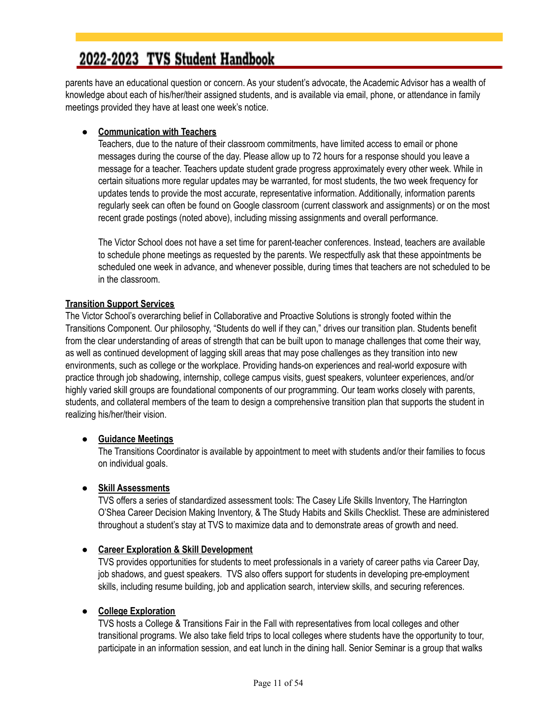parents have an educational question or concern. As your student's advocate, the Academic Advisor has a wealth of knowledge about each of his/her/their assigned students, and is available via email, phone, or attendance in family meetings provided they have at least one week's notice.

#### **● Communication with Teachers**

Teachers, due to the nature of their classroom commitments, have limited access to email or phone messages during the course of the day. Please allow up to 72 hours for a response should you leave a message for a teacher. Teachers update student grade progress approximately every other week. While in certain situations more regular updates may be warranted, for most students, the two week frequency for updates tends to provide the most accurate, representative information. Additionally, information parents regularly seek can often be found on Google classroom (current classwork and assignments) or on the most recent grade postings (noted above), including missing assignments and overall performance.

The Victor School does not have a set time for parent-teacher conferences. Instead, teachers are available to schedule phone meetings as requested by the parents. We respectfully ask that these appointments be scheduled one week in advance, and whenever possible, during times that teachers are not scheduled to be in the classroom.

#### **Transition Support Services**

The Victor School's overarching belief in Collaborative and Proactive Solutions is strongly footed within the Transitions Component. Our philosophy, "Students do well if they can," drives our transition plan. Students benefit from the clear understanding of areas of strength that can be built upon to manage challenges that come their way, as well as continued development of lagging skill areas that may pose challenges as they transition into new environments, such as college or the workplace. Providing hands-on experiences and real-world exposure with practice through job shadowing, internship, college campus visits, guest speakers, volunteer experiences, and/or highly varied skill groups are foundational components of our programming. Our team works closely with parents, students, and collateral members of the team to design a comprehensive transition plan that supports the student in realizing his/her/their vision.

#### **● Guidance Meetings**

The Transitions Coordinator is available by appointment to meet with students and/or their families to focus on individual goals.

#### **● Skill Assessments**

TVS offers a series of standardized assessment tools: The Casey Life Skills Inventory, The Harrington O'Shea Career Decision Making Inventory, & The Study Habits and Skills Checklist. These are administered throughout a student's stay at TVS to maximize data and to demonstrate areas of growth and need.

#### **● Career Exploration & Skill Development**

TVS provides opportunities for students to meet professionals in a variety of career paths via Career Day, job shadows, and guest speakers. TVS also offers support for students in developing pre-employment skills, including resume building, job and application search, interview skills, and securing references.

#### ● **College Exploration**

TVS hosts a College & Transitions Fair in the Fall with representatives from local colleges and other transitional programs. We also take field trips to local colleges where students have the opportunity to tour, participate in an information session, and eat lunch in the dining hall. Senior Seminar is a group that walks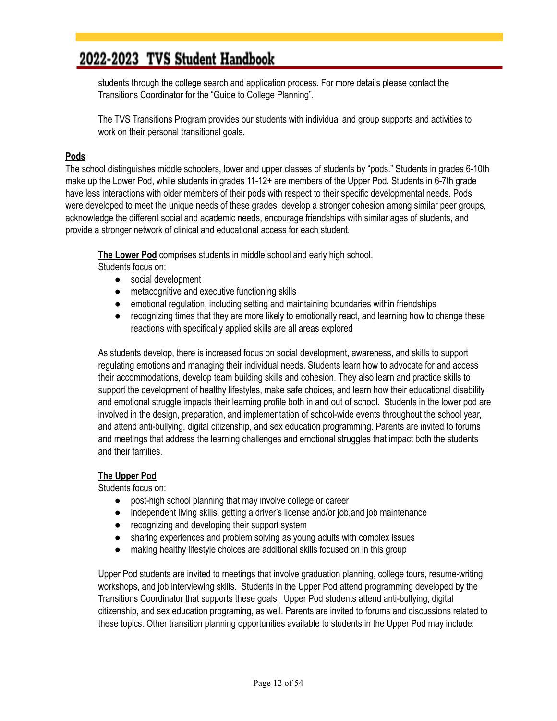students through the college search and application process. For more details please contact the Transitions Coordinator for the "Guide to College Planning".

The TVS Transitions Program provides our students with individual and group supports and activities to work on their personal transitional goals.

#### **Pods**

The school distinguishes middle schoolers, lower and upper classes of students by "pods." Students in grades 6-10th make up the Lower Pod, while students in grades 11-12+ are members of the Upper Pod. Students in 6-7th grade have less interactions with older members of their pods with respect to their specific developmental needs. Pods were developed to meet the unique needs of these grades, develop a stronger cohesion among similar peer groups, acknowledge the different social and academic needs, encourage friendships with similar ages of students, and provide a stronger network of clinical and educational access for each student.

**The Lower Pod** comprises students in middle school and early high school.

Students focus on:

- social development
- metacognitive and executive functioning skills
- emotional regulation, including setting and maintaining boundaries within friendships
- recognizing times that they are more likely to emotionally react, and learning how to change these reactions with specifically applied skills are all areas explored

As students develop, there is increased focus on social development, awareness, and skills to support regulating emotions and managing their individual needs. Students learn how to advocate for and access their accommodations, develop team building skills and cohesion. They also learn and practice skills to support the development of healthy lifestyles, make safe choices, and learn how their educational disability and emotional struggle impacts their learning profile both in and out of school. Students in the lower pod are involved in the design, preparation, and implementation of school-wide events throughout the school year, and attend anti-bullying, digital citizenship, and sex education programming. Parents are invited to forums and meetings that address the learning challenges and emotional struggles that impact both the students and their families.

#### **The Upper Pod**

Students focus on:

- post-high school planning that may involve college or career
- independent living skills, getting a driver's license and/or job, and job maintenance
- recognizing and developing their support system
- sharing experiences and problem solving as young adults with complex issues
- making healthy lifestyle choices are additional skills focused on in this group

Upper Pod students are invited to meetings that involve graduation planning, college tours, resume-writing workshops, and job interviewing skills. Students in the Upper Pod attend programming developed by the Transitions Coordinator that supports these goals. Upper Pod students attend anti-bullying, digital citizenship, and sex education programing, as well. Parents are invited to forums and discussions related to these topics. Other transition planning opportunities available to students in the Upper Pod may include: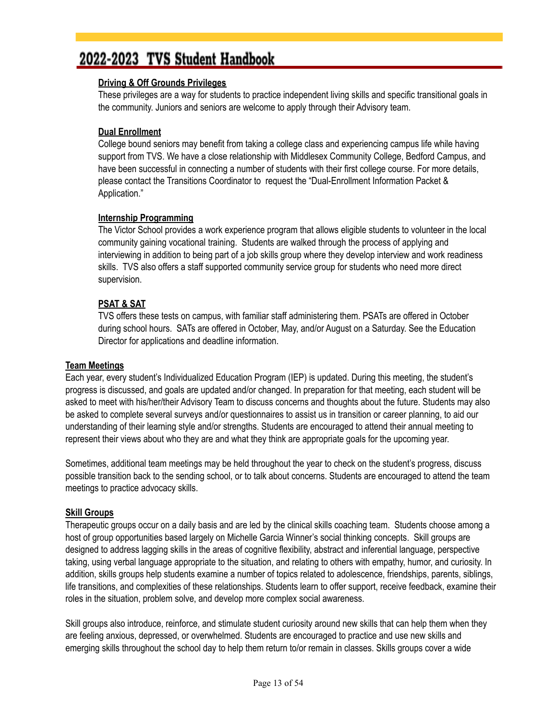#### **Driving & Off Grounds Privileges**

These privileges are a way for students to practice independent living skills and specific transitional goals in the community. Juniors and seniors are welcome to apply through their Advisory team.

#### **Dual Enrollment**

College bound seniors may benefit from taking a college class and experiencing campus life while having support from TVS. We have a close relationship with Middlesex Community College, Bedford Campus, and have been successful in connecting a number of students with their first college course. For more details, please contact the Transitions Coordinator to request the "Dual-Enrollment Information Packet & Application."

#### **Internship Programming**

The Victor School provides a work experience program that allows eligible students to volunteer in the local community gaining vocational training. Students are walked through the process of applying and interviewing in addition to being part of a job skills group where they develop interview and work readiness skills. TVS also offers a staff supported community service group for students who need more direct supervision.

#### **PSAT & SAT**

TVS offers these tests on campus, with familiar staff administering them. PSATs are offered in October during school hours. SATs are offered in October, May, and/or August on a Saturday. See the Education Director for applications and deadline information.

#### **Team Meetings**

Each year, every student's Individualized Education Program (IEP) is updated. During this meeting, the student's progress is discussed, and goals are updated and/or changed. In preparation for that meeting, each student will be asked to meet with his/her/their Advisory Team to discuss concerns and thoughts about the future. Students may also be asked to complete several surveys and/or questionnaires to assist us in transition or career planning, to aid our understanding of their learning style and/or strengths. Students are encouraged to attend their annual meeting to represent their views about who they are and what they think are appropriate goals for the upcoming year.

Sometimes, additional team meetings may be held throughout the year to check on the student's progress, discuss possible transition back to the sending school, or to talk about concerns. Students are encouraged to attend the team meetings to practice advocacy skills.

#### **Skill Groups**

Therapeutic groups occur on a daily basis and are led by the clinical skills coaching team. Students choose among a host of group opportunities based largely on Michelle Garcia Winner's social thinking concepts. Skill groups are designed to address lagging skills in the areas of cognitive flexibility, abstract and inferential language, perspective taking, using verbal language appropriate to the situation, and relating to others with empathy, humor, and curiosity. In addition, skills groups help students examine a number of topics related to adolescence, friendships, parents, siblings, life transitions, and complexities of these relationships. Students learn to offer support, receive feedback, examine their roles in the situation, problem solve, and develop more complex social awareness.

Skill groups also introduce, reinforce, and stimulate student curiosity around new skills that can help them when they are feeling anxious, depressed, or overwhelmed. Students are encouraged to practice and use new skills and emerging skills throughout the school day to help them return to/or remain in classes. Skills groups cover a wide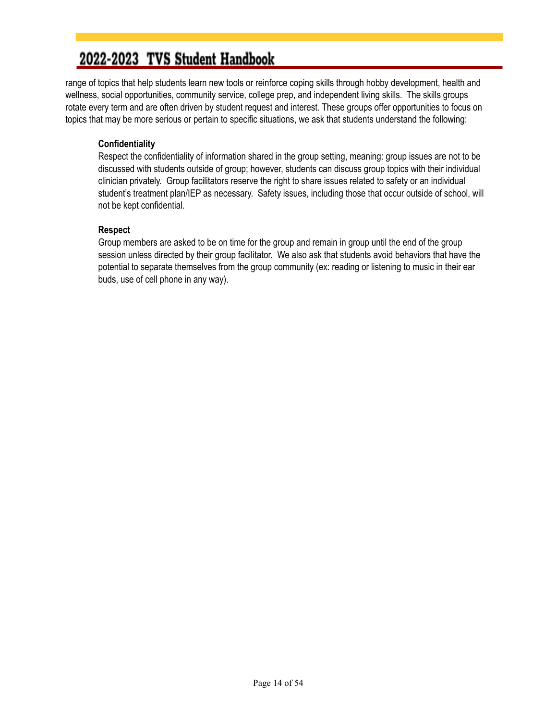range of topics that help students learn new tools or reinforce coping skills through hobby development, health and wellness, social opportunities, community service, college prep, and independent living skills. The skills groups rotate every term and are often driven by student request and interest. These groups offer opportunities to focus on topics that may be more serious or pertain to specific situations, we ask that students understand the following:

#### **Confidentiality**

Respect the confidentiality of information shared in the group setting, meaning: group issues are not to be discussed with students outside of group; however, students can discuss group topics with their individual clinician privately. Group facilitators reserve the right to share issues related to safety or an individual student's treatment plan/IEP as necessary. Safety issues, including those that occur outside of school, will not be kept confidential.

#### **Respect**

Group members are asked to be on time for the group and remain in group until the end of the group session unless directed by their group facilitator. We also ask that students avoid behaviors that have the potential to separate themselves from the group community (ex: reading or listening to music in their ear buds, use of cell phone in any way).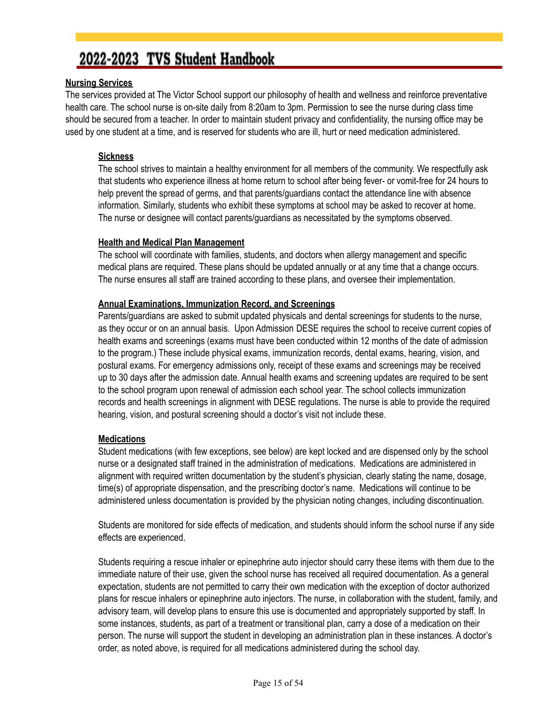#### **Nursing Services**

The services provided at The Victor School support our philosophy of health and wellness and reinforce preventative health care. The school nurse is on-site daily from 8:20am to 3pm. Permission to see the nurse during class time should be secured from a teacher. In order to maintain student privacy and confidentiality, the nursing office may be used by one student at a time, and is reserved for students who are ill, hurt or need medication administered.

#### **Sickness**

The school strives to maintain a healthy environment for all members of the community. We respectfully ask that students who experience illness at home return to school after being fever- or vomit-free for 24 hours to help prevent the spread of germs, and that parents/guardians contact the attendance line with absence information. Similarly, students who exhibit these symptoms at school may be asked to recover at home. The nurse or designee will contact parents/guardians as necessitated by the symptoms observed.

#### **Health and Medical Plan Management**

The school will coordinate with families, students, and doctors when allergy management and specific medical plans are required. These plans should be updated annually or at any time that a change occurs. The nurse ensures all staff are trained according to these plans, and oversee their implementation.

#### **Annual Examinations, Immunization Record, and Screenings**

Parents/guardians are asked to submit updated physicals and dental screenings for students to the nurse, as they occur or on an annual basis. Upon Admission DESE requires the school to receive current copies of health exams and screenings (exams must have been conducted within 12 months of the date of admission to the program.) These include physical exams, immunization records, dental exams, hearing, vision, and postural exams. For emergency admissions only, receipt of these exams and screenings may be received up to 30 days after the admission date. Annual health exams and screening updates are required to be sent to the school program upon renewal of admission each school year. The school collects immunization records and health screenings in alignment with DESE regulations. The nurse is able to provide the required hearing, vision, and postural screening should a doctor's visit not include these.

#### **Medications**

Student medications (with few exceptions, see below) are kept locked and are dispensed only by the school nurse or a designated staff trained in the administration of medications. Medications are administered in alignment with required written documentation by the student's physician, clearly stating the name, dosage, time(s) of appropriate dispensation, and the prescribing doctor's name. Medications will continue to be administered unless documentation is provided by the physician noting changes, including discontinuation.

Students are monitored for side effects of medication, and students should inform the school nurse if any side effects are experienced.

Students requiring a rescue inhaler or epinephrine auto injector should carry these items with them due to the immediate nature of their use, given the school nurse has received all required documentation. As a general expectation, students are not permitted to carry their own medication with the exception of doctor authorized plans for rescue inhalers or epinephrine auto injectors. The nurse, in collaboration with the student, family, and advisory team, will develop plans to ensure this use is documented and appropriately supported by staff. In some instances, students, as part of a treatment or transitional plan, carry a dose of a medication on their person. The nurse will support the student in developing an administration plan in these instances. A doctor's order, as noted above, is required for all medications administered during the school day.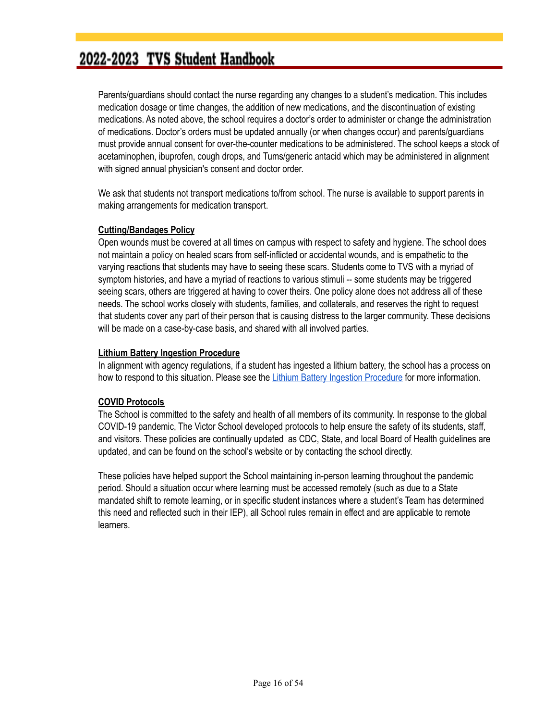Parents/guardians should contact the nurse regarding any changes to a student's medication. This includes medication dosage or time changes, the addition of new medications, and the discontinuation of existing medications. As noted above, the school requires a doctor's order to administer or change the administration of medications. Doctor's orders must be updated annually (or when changes occur) and parents/guardians must provide annual consent for over-the-counter medications to be administered. The school keeps a stock of acetaminophen, ibuprofen, cough drops, and Tums/generic antacid which may be administered in alignment with signed annual physician's consent and doctor order.

We ask that students not transport medications to/from school. The nurse is available to support parents in making arrangements for medication transport.

#### **Cutting/Bandages Policy**

Open wounds must be covered at all times on campus with respect to safety and hygiene. The school does not maintain a policy on healed scars from self-inflicted or accidental wounds, and is empathetic to the varying reactions that students may have to seeing these scars. Students come to TVS with a myriad of symptom histories, and have a myriad of reactions to various stimuli -- some students may be triggered seeing scars, others are triggered at having to cover theirs. One policy alone does not address all of these needs. The school works closely with students, families, and collaterals, and reserves the right to request that students cover any part of their person that is causing distress to the larger community. These decisions will be made on a case-by-case basis, and shared with all involved parties.

#### **Lithium Battery Ingestion Procedure**

In alignment with agency regulations, if a student has ingested a lithium battery, the school has a process on how to respond to this situation. Please see the Lithium Battery Ingestion [Procedure](https://drive.google.com/file/d/1eGf6I24-25QoghSad4Ubdjo8rDLtX_gW/view) for more information.

#### **COVID Protocols**

The School is committed to the safety and health of all members of its community. In response to the global COVID-19 pandemic, The Victor School developed protocols to help ensure the safety of its students, staff, and visitors. These policies are continually updated as CDC, State, and local Board of Health guidelines are updated, and can be found on the school's website or by contacting the school directly.

These policies have helped support the School maintaining in-person learning throughout the pandemic period. Should a situation occur where learning must be accessed remotely (such as due to a State mandated shift to remote learning, or in specific student instances where a student's Team has determined this need and reflected such in their IEP), all School rules remain in effect and are applicable to remote learners.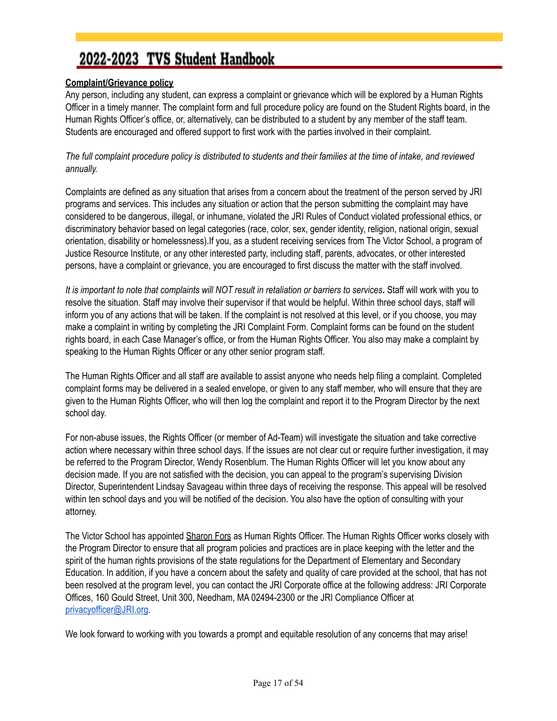#### <span id="page-16-0"></span>**Complaint/Grievance policy**

Any person, including any student, can express a complaint or grievance which will be explored by a Human Rights Officer in a timely manner. The complaint form and full procedure policy are found on the Student Rights board, in the Human Rights Officer's office, or, alternatively, can be distributed to a student by any member of the staff team. Students are encouraged and offered support to first work with the parties involved in their complaint.

The full complaint procedure policy is distributed to students and their families at the time of intake, and reviewed *annually.*

Complaints are defined as any situation that arises from a concern about the treatment of the person served by JRI programs and services. This includes any situation or action that the person submitting the complaint may have considered to be dangerous, illegal, or inhumane, violated the JRI Rules of Conduct violated professional ethics, or discriminatory behavior based on legal categories (race, color, sex, gender identity, religion, national origin, sexual orientation, disability or homelessness).If you, as a student receiving services from The Victor School, a program of Justice Resource Institute, or any other interested party, including staff, parents, advocates, or other interested persons, have a complaint or grievance, you are encouraged to first discuss the matter with the staff involved.

It is important to note that complaints will NOT result in retaliation or barriers to services. Staff will work with you to resolve the situation. Staff may involve their supervisor if that would be helpful. Within three school days, staff will inform you of any actions that will be taken. If the complaint is not resolved at this level, or if you choose, you may make a complaint in writing by completing the JRI Complaint Form. Complaint forms can be found on the student rights board, in each Case Manager's office, or from the Human Rights Officer. You also may make a complaint by speaking to the Human Rights Officer or any other senior program staff.

The Human Rights Officer and all staff are available to assist anyone who needs help filing a complaint. Completed complaint forms may be delivered in a sealed envelope, or given to any staff member, who will ensure that they are given to the Human Rights Officer, who will then log the complaint and report it to the Program Director by the next school day.

For non-abuse issues, the Rights Officer (or member of Ad-Team) will investigate the situation and take corrective action where necessary within three school days. If the issues are not clear cut or require further investigation, it may be referred to the Program Director, Wendy Rosenblum. The Human Rights Officer will let you know about any decision made. If you are not satisfied with the decision, you can appeal to the program's supervising Division Director, Superintendent Lindsay Savageau within three days of receiving the response. This appeal will be resolved within ten school days and you will be notified of the decision. You also have the option of consulting with your attorney.

The Victor School has appointed Sharon Fors as Human Rights Officer. The Human Rights Officer works closely with the Program Director to ensure that all program policies and practices are in place keeping with the letter and the spirit of the human rights provisions of the state regulations for the Department of Elementary and Secondary Education. In addition, if you have a concern about the safety and quality of care provided at the school, that has not been resolved at the program level, you can contact the JRI Corporate office at the following address: JRI Corporate Offices, 160 Gould Street, Unit 300, Needham, MA 02494-2300 or the JRI Compliance Officer at [privacyofficer@JRI.org](mailto:privacyofficer@JRI.org).

We look forward to working with you towards a prompt and equitable resolution of any concerns that may arise!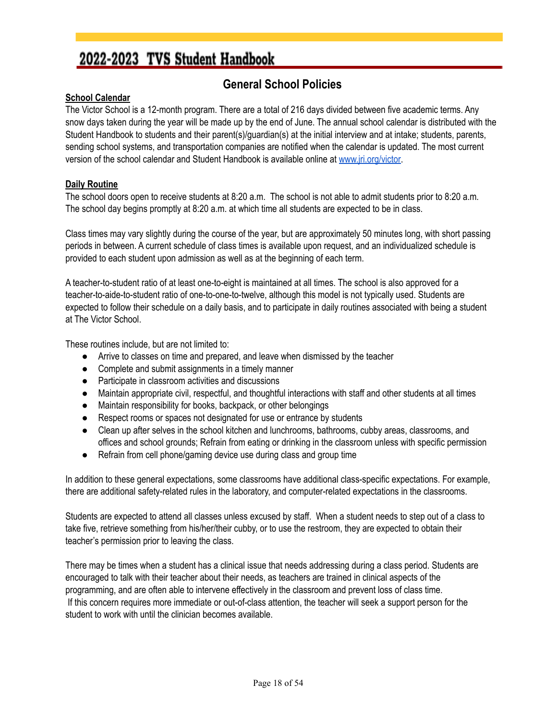#### **General School Policies**

#### <span id="page-17-0"></span>**School Calendar**

The Victor School is a 12-month program. There are a total of 216 days divided between five academic terms. Any snow days taken during the year will be made up by the end of June. The annual school calendar is distributed with the Student Handbook to students and their parent(s)/guardian(s) at the initial interview and at intake; students, parents, sending school systems, and transportation companies are notified when the calendar is updated. The most current version of the school calendar and Student Handbook is available online at [www.jri.org/victor.](http://www.jri.org/victor)

#### **Daily Routine**

The school doors open to receive students at 8:20 a.m. The school is not able to admit students prior to 8:20 a.m. The school day begins promptly at 8:20 a.m. at which time all students are expected to be in class.

Class times may vary slightly during the course of the year, but are approximately 50 minutes long, with short passing periods in between. A current schedule of class times is available upon request, and an individualized schedule is provided to each student upon admission as well as at the beginning of each term.

A teacher-to-student ratio of at least one-to-eight is maintained at all times. The school is also approved for a teacher-to-aide-to-student ratio of one-to-one-to-twelve, although this model is not typically used. Students are expected to follow their schedule on a daily basis, and to participate in daily routines associated with being a student at The Victor School.

These routines include, but are not limited to:

- Arrive to classes on time and prepared, and leave when dismissed by the teacher
- Complete and submit assignments in a timely manner
- Participate in classroom activities and discussions
- Maintain appropriate civil, respectful, and thoughtful interactions with staff and other students at all times
- Maintain responsibility for books, backpack, or other belongings
- Respect rooms or spaces not designated for use or entrance by students
- Clean up after selves in the school kitchen and lunchrooms, bathrooms, cubby areas, classrooms, and offices and school grounds; Refrain from eating or drinking in the classroom unless with specific permission
- Refrain from cell phone/gaming device use during class and group time

In addition to these general expectations, some classrooms have additional class-specific expectations. For example, there are additional safety-related rules in the laboratory, and computer-related expectations in the classrooms.

Students are expected to attend all classes unless excused by staff. When a student needs to step out of a class to take five, retrieve something from his/her/their cubby, or to use the restroom, they are expected to obtain their teacher's permission prior to leaving the class.

There may be times when a student has a clinical issue that needs addressing during a class period. Students are encouraged to talk with their teacher about their needs, as teachers are trained in clinical aspects of the programming, and are often able to intervene effectively in the classroom and prevent loss of class time. If this concern requires more immediate or out-of-class attention, the teacher will seek a support person for the student to work with until the clinician becomes available.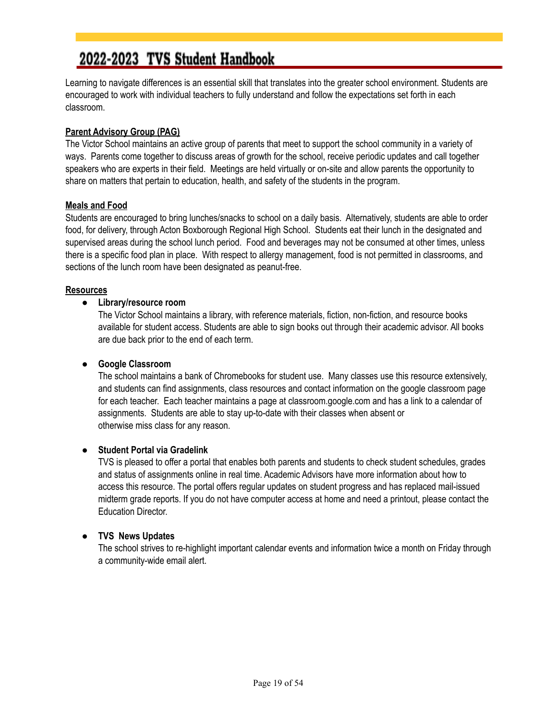Learning to navigate differences is an essential skill that translates into the greater school environment. Students are encouraged to work with individual teachers to fully understand and follow the expectations set forth in each classroom.

#### **Parent Advisory Group (PAG)**

The Victor School maintains an active group of parents that meet to support the school community in a variety of ways. Parents come together to discuss areas of growth for the school, receive periodic updates and call together speakers who are experts in their field. Meetings are held virtually or on-site and allow parents the opportunity to share on matters that pertain to education, health, and safety of the students in the program.

#### **Meals and Food**

Students are encouraged to bring lunches/snacks to school on a daily basis. Alternatively, students are able to order food, for delivery, through Acton Boxborough Regional High School. Students eat their lunch in the designated and supervised areas during the school lunch period. Food and beverages may not be consumed at other times, unless there is a specific food plan in place. With respect to allergy management, food is not permitted in classrooms, and sections of the lunch room have been designated as peanut-free.

#### **Resources**

#### **● Library/resource room**

The Victor School maintains a library, with reference materials, fiction, non-fiction, and resource books available for student access. Students are able to sign books out through their academic advisor. All books are due back prior to the end of each term.

#### **● Google Classroom**

The school maintains a bank of Chromebooks for student use. Many classes use this resource extensively, and students can find assignments, class resources and contact information on the google classroom page for each teacher. Each teacher maintains a page at classroom.google.com and has a link to a calendar of assignments. Students are able to stay up-to-date with their classes when absent or otherwise miss class for any reason.

#### ● **Student Portal via Gradelink**

TVS is pleased to offer a portal that enables both parents and students to check student schedules, grades and status of assignments online in real time. Academic Advisors have more information about how to access this resource. The portal offers regular updates on student progress and has replaced mail-issued midterm grade reports. If you do not have computer access at home and need a printout, please contact the Education Director.

#### ● **TVS News Updates**

The school strives to re-highlight important calendar events and information twice a month on Friday through a community-wide email alert.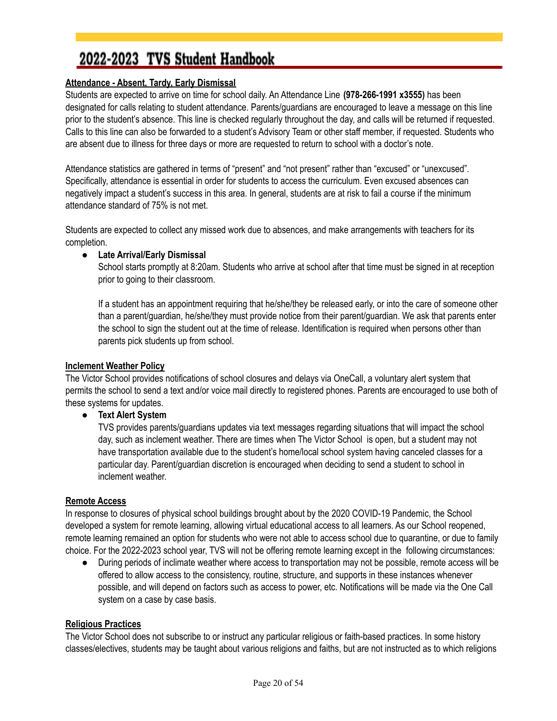#### <span id="page-19-0"></span>**Attendance - Absent, Tardy, Early Dismissal**

Students are expected to arrive on time for school daily. An Attendance Line **(978-266-1991 x3555)** has been designated for calls relating to student attendance. Parents/guardians are encouraged to leave a message on this line prior to the student's absence. This line is checked regularly throughout the day, and calls will be returned if requested. Calls to this line can also be forwarded to a student's Advisory Team or other staff member, if requested. Students who are absent due to illness for three days or more are requested to return to school with a doctor's note.

Attendance statistics are gathered in terms of "present" and "not present" rather than "excused" or "unexcused". Specifically, attendance is essential in order for students to access the curriculum. Even excused absences can negatively impact a student's success in this area. In general, students are at risk to fail a course if the minimum attendance standard of 75% is not met.

Students are expected to collect any missed work due to absences, and make arrangements with teachers for its completion.

#### ● **Late Arrival/Early Dismissal**

School starts promptly at 8:20am. Students who arrive at school after that time must be signed in at reception prior to going to their classroom.

If a student has an appointment requiring that he/she/they be released early, or into the care of someone other than a parent/guardian, he/she/they must provide notice from their parent/guardian. We ask that parents enter the school to sign the student out at the time of release. Identification is required when persons other than parents pick students up from school.

#### **Inclement Weather Policy**

The Victor School provides notifications of school closures and delays via OneCall, a voluntary alert system that permits the school to send a text and/or voice mail directly to registered phones. Parents are encouraged to use both of these systems for updates.

● **Text Alert System**

TVS provides parents/guardians updates via text messages regarding situations that will impact the school day, such as inclement weather. There are times when The Victor School is open, but a student may not have transportation available due to the student's home/local school system having canceled classes for a particular day. Parent/guardian discretion is encouraged when deciding to send a student to school in inclement weather.

#### **Remote Access**

In response to closures of physical school buildings brought about by the 2020 COVID-19 Pandemic, the School developed a system for remote learning, allowing virtual educational access to all learners. As our School reopened, remote learning remained an option for students who were not able to access school due to quarantine, or due to family choice. For the 2022-2023 school year, TVS will not be offering remote learning except in the following circumstances:

● During periods of inclimate weather where access to transportation may not be possible, remote access will be offered to allow access to the consistency, routine, structure, and supports in these instances whenever possible, and will depend on factors such as access to power, etc. Notifications will be made via the One Call system on a case by case basis.

#### **Religious Practices**

The Victor School does not subscribe to or instruct any particular religious or faith-based practices. In some history classes/electives, students may be taught about various religions and faiths, but are not instructed as to which religions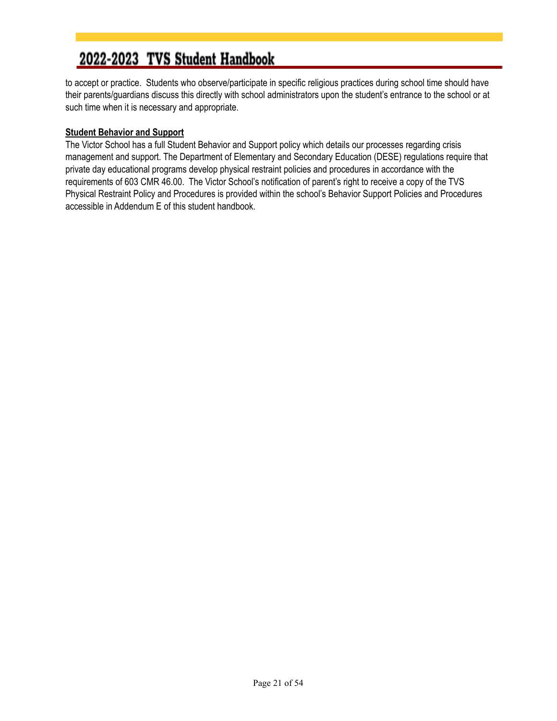to accept or practice. Students who observe/participate in specific religious practices during school time should have their parents/guardians discuss this directly with school administrators upon the student's entrance to the school or at such time when it is necessary and appropriate.

#### <span id="page-20-0"></span>**Student Behavior and Support**

The Victor School has a full Student Behavior and Support policy which details our processes regarding crisis management and support. The Department of Elementary and Secondary Education (DESE) regulations require that private day educational programs develop physical restraint policies and procedures in accordance with the requirements of 603 CMR 46.00. The Victor School's notification of parent's right to receive a copy of the TVS Physical Restraint Policy and Procedures is provided within the school's Behavior Support Policies and Procedures accessible in Addendum E of this student handbook.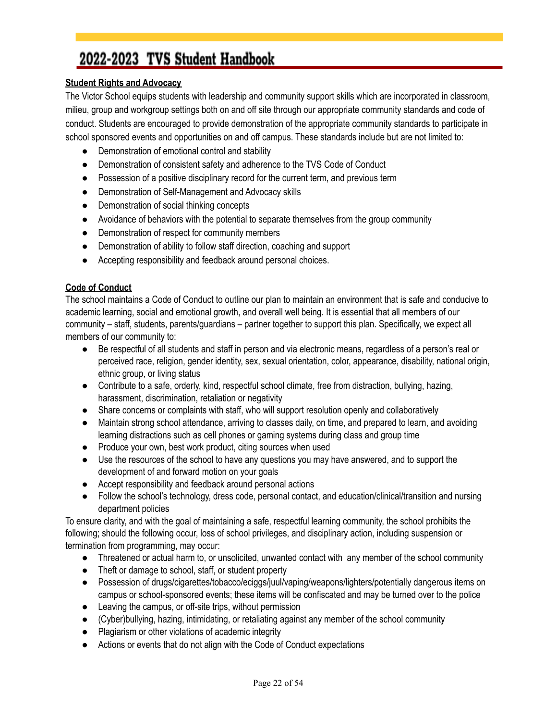#### **Student Rights and Advocacy**

The Victor School equips students with leadership and community support skills which are incorporated in classroom, milieu, group and workgroup settings both on and off site through our appropriate community standards and code of conduct. Students are encouraged to provide demonstration of the appropriate community standards to participate in school sponsored events and opportunities on and off campus. These standards include but are not limited to:

- Demonstration of emotional control and stability
- Demonstration of consistent safety and adherence to the TVS Code of Conduct
- Possession of a positive disciplinary record for the current term, and previous term
- Demonstration of Self-Management and Advocacy skills
- Demonstration of social thinking concepts
- Avoidance of behaviors with the potential to separate themselves from the group community
- Demonstration of respect for community members
- Demonstration of ability to follow staff direction, coaching and support
- Accepting responsibility and feedback around personal choices.

#### **Code of Conduct**

The school maintains a Code of Conduct to outline our plan to maintain an environment that is safe and conducive to academic learning, social and emotional growth, and overall well being. It is essential that all members of our community – staff, students, parents/guardians – partner together to support this plan. Specifically, we expect all members of our community to:

- Be respectful of all students and staff in person and via electronic means, regardless of a person's real or perceived race, religion, gender identity, sex, sexual orientation, color, appearance, disability, national origin, ethnic group, or living status
- Contribute to a safe, orderly, kind, respectful school climate, free from distraction, bullying, hazing, harassment, discrimination, retaliation or negativity
- Share concerns or complaints with staff, who will support resolution openly and collaboratively
- Maintain strong school attendance, arriving to classes daily, on time, and prepared to learn, and avoiding learning distractions such as cell phones or gaming systems during class and group time
- Produce your own, best work product, citing sources when used
- Use the resources of the school to have any questions you may have answered, and to support the development of and forward motion on your goals
- Accept responsibility and feedback around personal actions
- Follow the school's technology, dress code, personal contact, and education/clinical/transition and nursing department policies

To ensure clarity, and with the goal of maintaining a safe, respectful learning community, the school prohibits the following; should the following occur, loss of school privileges, and disciplinary action, including suspension or termination from programming, may occur:

- Threatened or actual harm to, or unsolicited, unwanted contact with any member of the school community
- Theft or damage to school, staff, or student property
- Possession of drugs/cigarettes/tobacco/eciggs/juul/vaping/weapons/lighters/potentially dangerous items on campus or school-sponsored events; these items will be confiscated and may be turned over to the police
- Leaving the campus, or off-site trips, without permission
- (Cyber)bullying, hazing, intimidating, or retaliating against any member of the school community
- Plagiarism or other violations of academic integrity
- Actions or events that do not align with the Code of Conduct expectations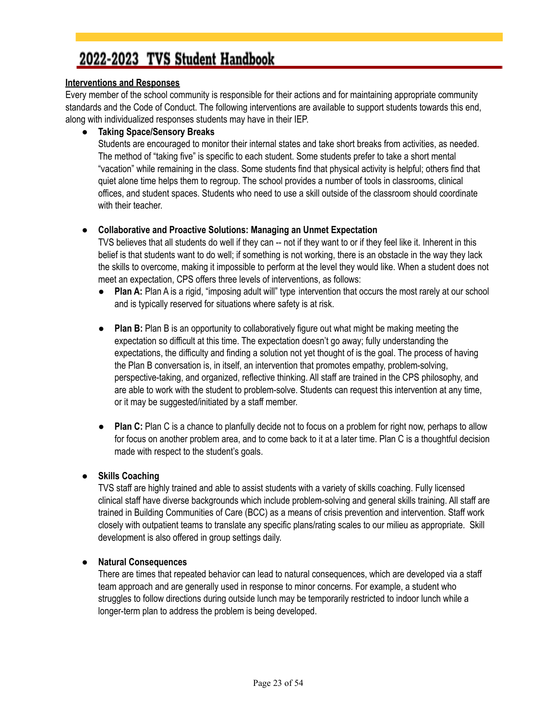#### <span id="page-22-0"></span>**Interventions and Responses**

Every member of the school community is responsible for their actions and for maintaining appropriate community standards and the Code of Conduct. The following interventions are available to support students towards this end, along with individualized responses students may have in their IEP.

#### ● **Taking Space/Sensory Breaks**

Students are encouraged to monitor their internal states and take short breaks from activities, as needed. The method of "taking five" is specific to each student. Some students prefer to take a short mental "vacation" while remaining in the class. Some students find that physical activity is helpful; others find that quiet alone time helps them to regroup. The school provides a number of tools in classrooms, clinical offices, and student spaces. Students who need to use a skill outside of the classroom should coordinate with their teacher.

#### ● **Collaborative and Proactive Solutions: Managing an Unmet Expectation**

TVS believes that all students do well if they can -- not if they want to or if they feel like it. Inherent in this belief is that students want to do well; if something is not working, there is an obstacle in the way they lack the skills to overcome, making it impossible to perform at the level they would like. When a student does not meet an expectation, CPS offers three levels of interventions, as follows:

- **Plan A:** Plan A is a rigid, "imposing adult will" type intervention that occurs the most rarely at our school and is typically reserved for situations where safety is at risk.
- **Plan B:** Plan B is an opportunity to collaboratively figure out what might be making meeting the expectation so difficult at this time. The expectation doesn't go away; fully understanding the expectations, the difficulty and finding a solution not yet thought of is the goal. The process of having the Plan B conversation is, in itself, an intervention that promotes empathy, problem-solving, perspective-taking, and organized, reflective thinking. All staff are trained in the CPS philosophy, and are able to work with the student to problem-solve. Students can request this intervention at any time, or it may be suggested/initiated by a staff member.
- **Plan C:** Plan C is a chance to planfully decide not to focus on a problem for right now, perhaps to allow for focus on another problem area, and to come back to it at a later time. Plan C is a thoughtful decision made with respect to the student's goals.

#### ● **Skills Coaching**

TVS staff are highly trained and able to assist students with a variety of skills coaching. Fully licensed clinical staff have diverse backgrounds which include problem-solving and general skills training. All staff are trained in Building Communities of Care (BCC) as a means of crisis prevention and intervention. Staff work closely with outpatient teams to translate any specific plans/rating scales to our milieu as appropriate. Skill development is also offered in group settings daily.

#### ● **Natural Consequences**

There are times that repeated behavior can lead to natural consequences, which are developed via a staff team approach and are generally used in response to minor concerns. For example, a student who struggles to follow directions during outside lunch may be temporarily restricted to indoor lunch while a longer-term plan to address the problem is being developed.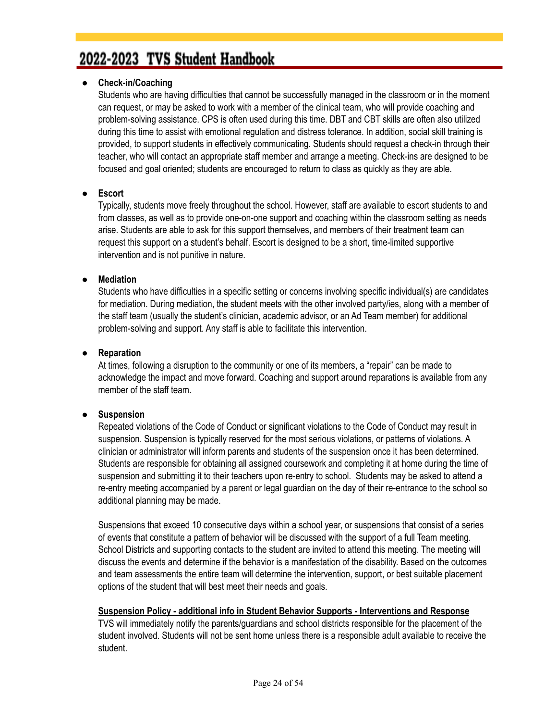#### ● **Check-in/Coaching**

Students who are having difficulties that cannot be successfully managed in the classroom or in the moment can request, or may be asked to work with a member of the clinical team, who will provide coaching and problem-solving assistance. CPS is often used during this time. DBT and CBT skills are often also utilized during this time to assist with emotional regulation and distress tolerance. In addition, social skill training is provided, to support students in effectively communicating. Students should request a check-in through their teacher, who will contact an appropriate staff member and arrange a meeting. Check-ins are designed to be focused and goal oriented; students are encouraged to return to class as quickly as they are able.

#### ● **Escort**

Typically, students move freely throughout the school. However, staff are available to escort students to and from classes, as well as to provide one-on-one support and coaching within the classroom setting as needs arise. Students are able to ask for this support themselves, and members of their treatment team can request this support on a student's behalf. Escort is designed to be a short, time-limited supportive intervention and is not punitive in nature.

#### ● **Mediation**

Students who have difficulties in a specific setting or concerns involving specific individual(s) are candidates for mediation. During mediation, the student meets with the other involved party/ies, along with a member of the staff team (usually the student's clinician, academic advisor, or an Ad Team member) for additional problem-solving and support. Any staff is able to facilitate this intervention.

#### ● **Reparation**

At times, following a disruption to the community or one of its members, a "repair" can be made to acknowledge the impact and move forward. Coaching and support around reparations is available from any member of the staff team.

#### ● **Suspension**

Repeated violations of the Code of Conduct or significant violations to the Code of Conduct may result in suspension. Suspension is typically reserved for the most serious violations, or patterns of violations. A clinician or administrator will inform parents and students of the suspension once it has been determined. Students are responsible for obtaining all assigned coursework and completing it at home during the time of suspension and submitting it to their teachers upon re-entry to school. Students may be asked to attend a re-entry meeting accompanied by a parent or legal guardian on the day of their re-entrance to the school so additional planning may be made.

Suspensions that exceed 10 consecutive days within a school year, or suspensions that consist of a series of events that constitute a pattern of behavior will be discussed with the support of a full Team meeting. School Districts and supporting contacts to the student are invited to attend this meeting. The meeting will discuss the events and determine if the behavior is a manifestation of the disability. Based on the outcomes and team assessments the entire team will determine the intervention, support, or best suitable placement options of the student that will best meet their needs and goals.

#### **Suspension Policy - additional info in Student Behavior Supports - Interventions and Response**

TVS will immediately notify the parents/guardians and school districts responsible for the placement of the student involved. Students will not be sent home unless there is a responsible adult available to receive the student.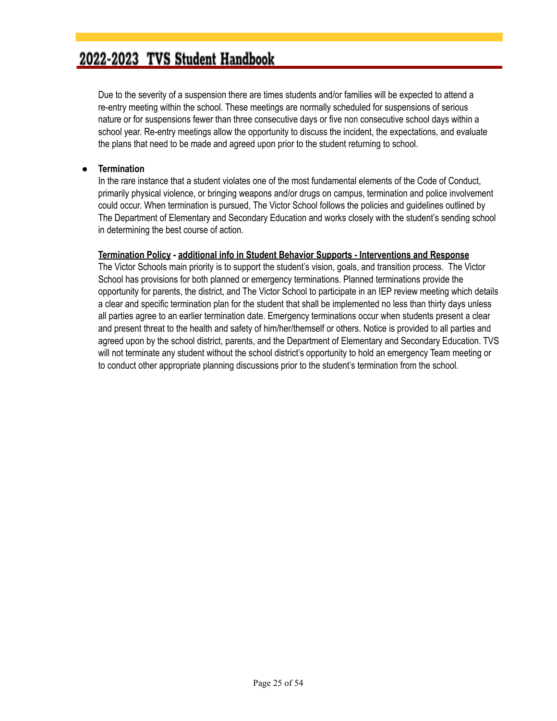Due to the severity of a suspension there are times students and/or families will be expected to attend a re-entry meeting within the school. These meetings are normally scheduled for suspensions of serious nature or for suspensions fewer than three consecutive days or five non consecutive school days within a school year. Re-entry meetings allow the opportunity to discuss the incident, the expectations, and evaluate the plans that need to be made and agreed upon prior to the student returning to school.

#### ● **Termination**

In the rare instance that a student violates one of the most fundamental elements of the Code of Conduct, primarily physical violence, or bringing weapons and/or drugs on campus, termination and police involvement could occur. When termination is pursued, The Victor School follows the policies and guidelines outlined by The Department of Elementary and Secondary Education and works closely with the student's sending school in determining the best course of action.

#### **Termination Policy - additional info in Student Behavior Supports - Interventions and Response**

The Victor Schools main priority is to support the student's vision, goals, and transition process. The Victor School has provisions for both planned or emergency terminations. Planned terminations provide the opportunity for parents, the district, and The Victor School to participate in an IEP review meeting which details a clear and specific termination plan for the student that shall be implemented no less than thirty days unless all parties agree to an earlier termination date. Emergency terminations occur when students present a clear and present threat to the health and safety of him/her/themself or others. Notice is provided to all parties and agreed upon by the school district, parents, and the Department of Elementary and Secondary Education. TVS will not terminate any student without the school district's opportunity to hold an emergency Team meeting or to conduct other appropriate planning discussions prior to the student's termination from the school.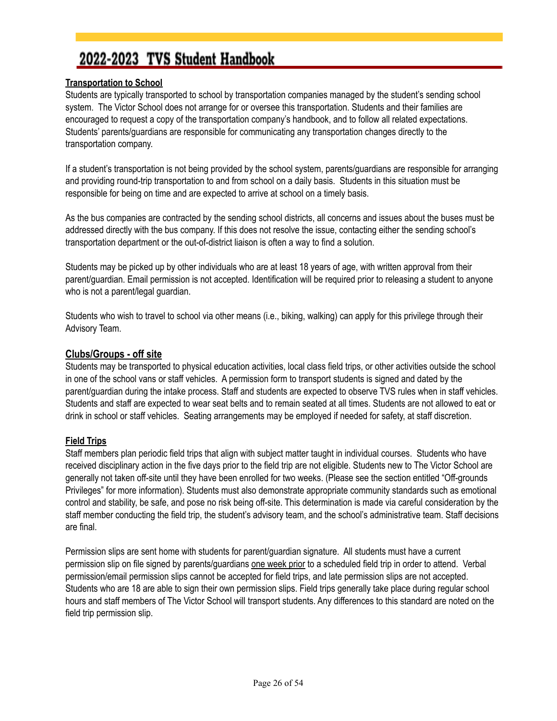#### **Transportation to School**

Students are typically transported to school by transportation companies managed by the student's sending school system. The Victor School does not arrange for or oversee this transportation. Students and their families are encouraged to request a copy of the transportation company's handbook, and to follow all related expectations. Students' parents/guardians are responsible for communicating any transportation changes directly to the transportation company.

If a student's transportation is not being provided by the school system, parents/guardians are responsible for arranging and providing round-trip transportation to and from school on a daily basis. Students in this situation must be responsible for being on time and are expected to arrive at school on a timely basis.

As the bus companies are contracted by the sending school districts, all concerns and issues about the buses must be addressed directly with the bus company. If this does not resolve the issue, contacting either the sending school's transportation department or the out-of-district liaison is often a way to find a solution.

Students may be picked up by other individuals who are at least 18 years of age, with written approval from their parent/guardian. Email permission is not accepted. Identification will be required prior to releasing a student to anyone who is not a parent/legal guardian.

Students who wish to travel to school via other means (i.e., biking, walking) can apply for this privilege through their Advisory Team.

#### **Clubs/Groups - off site**

Students may be transported to physical education activities, local class field trips, or other activities outside the school in one of the school vans or staff vehicles. A permission form to transport students is signed and dated by the parent/guardian during the intake process. Staff and students are expected to observe TVS rules when in staff vehicles. Students and staff are expected to wear seat belts and to remain seated at all times. Students are not allowed to eat or drink in school or staff vehicles. Seating arrangements may be employed if needed for safety, at staff discretion.

#### **Field Trips**

Staff members plan periodic field trips that align with subject matter taught in individual courses. Students who have received disciplinary action in the five days prior to the field trip are not eligible. Students new to The Victor School are generally not taken off-site until they have been enrolled for two weeks. (Please see the section entitled "Off-grounds Privileges" for more information). Students must also demonstrate appropriate community standards such as emotional control and stability, be safe, and pose no risk being off-site. This determination is made via careful consideration by the staff member conducting the field trip, the student's advisory team, and the school's administrative team. Staff decisions are final.

Permission slips are sent home with students for parent/guardian signature. All students must have a current permission slip on file signed by parents/guardians one week prior to a scheduled field trip in order to attend. Verbal permission/email permission slips cannot be accepted for field trips, and late permission slips are not accepted. Students who are 18 are able to sign their own permission slips. Field trips generally take place during regular school hours and staff members of The Victor School will transport students. Any differences to this standard are noted on the field trip permission slip.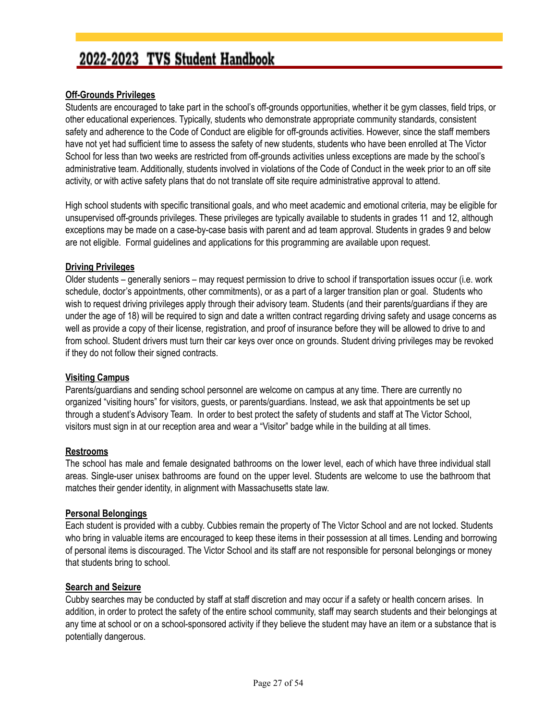#### **Off-Grounds Privileges**

Students are encouraged to take part in the school's off-grounds opportunities, whether it be gym classes, field trips, or other educational experiences. Typically, students who demonstrate appropriate community standards, consistent safety and adherence to the Code of Conduct are eligible for off-grounds activities. However, since the staff members have not yet had sufficient time to assess the safety of new students, students who have been enrolled at The Victor School for less than two weeks are restricted from off-grounds activities unless exceptions are made by the school's administrative team. Additionally, students involved in violations of the Code of Conduct in the week prior to an off site activity, or with active safety plans that do not translate off site require administrative approval to attend.

High school students with specific transitional goals, and who meet academic and emotional criteria, may be eligible for unsupervised off-grounds privileges. These privileges are typically available to students in grades 11 and 12, although exceptions may be made on a case-by-case basis with parent and ad team approval. Students in grades 9 and below are not eligible. Formal guidelines and applications for this programming are available upon request.

#### **Driving Privileges**

Older students – generally seniors – may request permission to drive to school if transportation issues occur (i.e. work schedule, doctor's appointments, other commitments), or as a part of a larger transition plan or goal. Students who wish to request driving privileges apply through their advisory team. Students (and their parents/guardians if they are under the age of 18) will be required to sign and date a written contract regarding driving safety and usage concerns as well as provide a copy of their license, registration, and proof of insurance before they will be allowed to drive to and from school. Student drivers must turn their car keys over once on grounds. Student driving privileges may be revoked if they do not follow their signed contracts.

#### **Visiting Campus**

Parents/guardians and sending school personnel are welcome on campus at any time. There are currently no organized "visiting hours" for visitors, guests, or parents/guardians. Instead, we ask that appointments be set up through a student's Advisory Team. In order to best protect the safety of students and staff at The Victor School, visitors must sign in at our reception area and wear a "Visitor" badge while in the building at all times.

#### **Restrooms**

The school has male and female designated bathrooms on the lower level, each of which have three individual stall areas. Single-user unisex bathrooms are found on the upper level. Students are welcome to use the bathroom that matches their gender identity, in alignment with Massachusetts state law.

#### **Personal Belongings**

Each student is provided with a cubby. Cubbies remain the property of The Victor School and are not locked. Students who bring in valuable items are encouraged to keep these items in their possession at all times. Lending and borrowing of personal items is discouraged. The Victor School and its staff are not responsible for personal belongings or money that students bring to school.

#### **Search and Seizure**

Cubby searches may be conducted by staff at staff discretion and may occur if a safety or health concern arises. In addition, in order to protect the safety of the entire school community, staff may search students and their belongings at any time at school or on a school-sponsored activity if they believe the student may have an item or a substance that is potentially dangerous.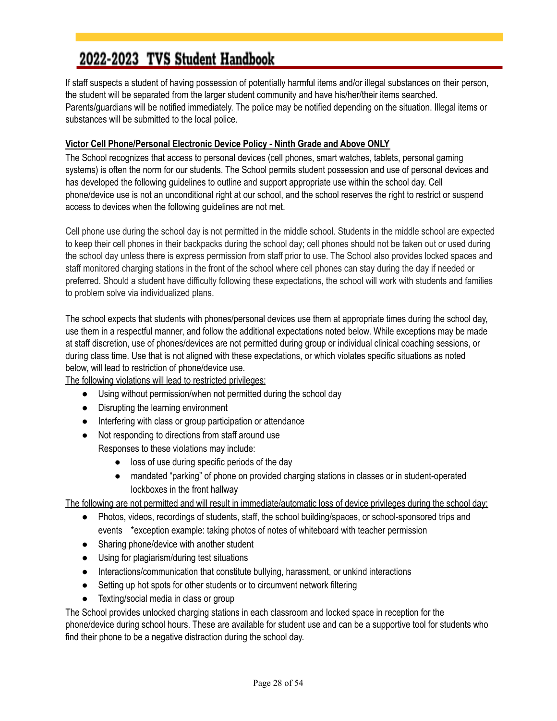If staff suspects a student of having possession of potentially harmful items and/or illegal substances on their person, the student will be separated from the larger student community and have his/her/their items searched. Parents/guardians will be notified immediately. The police may be notified depending on the situation. Illegal items or substances will be submitted to the local police.

#### <span id="page-27-0"></span>**Victor Cell Phone/Personal Electronic Device Policy - Ninth Grade and Above ONLY**

The School recognizes that access to personal devices (cell phones, smart watches, tablets, personal gaming systems) is often the norm for our students. The School permits student possession and use of personal devices and has developed the following guidelines to outline and support appropriate use within the school day. Cell phone/device use is not an unconditional right at our school, and the school reserves the right to restrict or suspend access to devices when the following guidelines are not met.

Cell phone use during the school day is not permitted in the middle school. Students in the middle school are expected to keep their cell phones in their backpacks during the school day; cell phones should not be taken out or used during the school day unless there is express permission from staff prior to use. The School also provides locked spaces and staff monitored charging stations in the front of the school where cell phones can stay during the day if needed or preferred. Should a student have difficulty following these expectations, the school will work with students and families to problem solve via individualized plans.

The school expects that students with phones/personal devices use them at appropriate times during the school day, use them in a respectful manner, and follow the additional expectations noted below. While exceptions may be made at staff discretion, use of phones/devices are not permitted during group or individual clinical coaching sessions, or during class time. Use that is not aligned with these expectations, or which violates specific situations as noted below, will lead to restriction of phone/device use.

The following violations will lead to restricted privileges:

- Using without permission/when not permitted during the school day
- Disrupting the learning environment
- Interfering with class or group participation or attendance
- Not responding to directions from staff around use

Responses to these violations may include:

- loss of use during specific periods of the day
- mandated "parking" of phone on provided charging stations in classes or in student-operated lockboxes in the front hallway

The following are not permitted and will result in immediate/automatic loss of device privileges during the school day:

- Photos, videos, recordings of students, staff, the school building/spaces, or school-sponsored trips and events \*exception example: taking photos of notes of whiteboard with teacher permission
- Sharing phone/device with another student
- Using for plagiarism/during test situations
- Interactions/communication that constitute bullying, harassment, or unkind interactions
- Setting up hot spots for other students or to circumvent network filtering
- Texting/social media in class or group

The School provides unlocked charging stations in each classroom and locked space in reception for the phone/device during school hours. These are available for student use and can be a supportive tool for students who find their phone to be a negative distraction during the school day.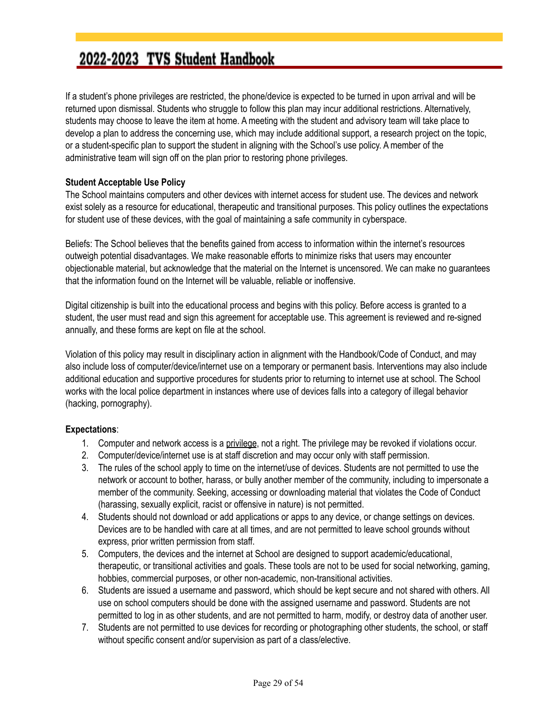If a student's phone privileges are restricted, the phone/device is expected to be turned in upon arrival and will be returned upon dismissal. Students who struggle to follow this plan may incur additional restrictions. Alternatively, students may choose to leave the item at home. A meeting with the student and advisory team will take place to develop a plan to address the concerning use, which may include additional support, a research project on the topic, or a student-specific plan to support the student in aligning with the School's use policy. A member of the administrative team will sign off on the plan prior to restoring phone privileges.

#### **Student Acceptable Use Policy**

The School maintains computers and other devices with internet access for student use. The devices and network exist solely as a resource for educational, therapeutic and transitional purposes. This policy outlines the expectations for student use of these devices, with the goal of maintaining a safe community in cyberspace.

Beliefs: The School believes that the benefits gained from access to information within the internet's resources outweigh potential disadvantages. We make reasonable efforts to minimize risks that users may encounter objectionable material, but acknowledge that the material on the Internet is uncensored. We can make no guarantees that the information found on the Internet will be valuable, reliable or inoffensive.

Digital citizenship is built into the educational process and begins with this policy. Before access is granted to a student, the user must read and sign this agreement for acceptable use. This agreement is reviewed and re-signed annually, and these forms are kept on file at the school.

Violation of this policy may result in disciplinary action in alignment with the Handbook/Code of Conduct, and may also include loss of computer/device/internet use on a temporary or permanent basis. Interventions may also include additional education and supportive procedures for students prior to returning to internet use at school. The School works with the local police department in instances where use of devices falls into a category of illegal behavior (hacking, pornography).

#### **Expectations**:

- 1. Computer and network access is a privilege, not a right. The privilege may be revoked if violations occur.
- 2. Computer/device/internet use is at staff discretion and may occur only with staff permission.
- 3. The rules of the school apply to time on the internet/use of devices. Students are not permitted to use the network or account to bother, harass, or bully another member of the community, including to impersonate a member of the community. Seeking, accessing or downloading material that violates the Code of Conduct (harassing, sexually explicit, racist or offensive in nature) is not permitted.
- 4. Students should not download or add applications or apps to any device, or change settings on devices. Devices are to be handled with care at all times, and are not permitted to leave school grounds without express, prior written permission from staff.
- 5. Computers, the devices and the internet at School are designed to support academic/educational, therapeutic, or transitional activities and goals. These tools are not to be used for social networking, gaming, hobbies, commercial purposes, or other non-academic, non-transitional activities.
- 6. Students are issued a username and password, which should be kept secure and not shared with others. All use on school computers should be done with the assigned username and password. Students are not permitted to log in as other students, and are not permitted to harm, modify, or destroy data of another user.
- 7. Students are not permitted to use devices for recording or photographing other students, the school, or staff without specific consent and/or supervision as part of a class/elective.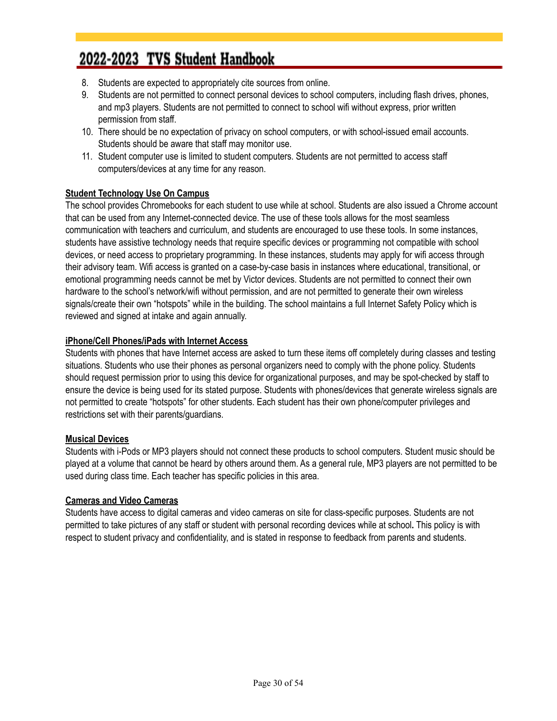- 8. Students are expected to appropriately cite sources from online.
- 9. Students are not permitted to connect personal devices to school computers, including flash drives, phones, and mp3 players. Students are not permitted to connect to school wifi without express, prior written permission from staff.
- 10. There should be no expectation of privacy on school computers, or with school-issued email accounts. Students should be aware that staff may monitor use.
- 11. Student computer use is limited to student computers. Students are not permitted to access staff computers/devices at any time for any reason.

#### **Student Technology Use On Campus**

The school provides Chromebooks for each student to use while at school. Students are also issued a Chrome account that can be used from any Internet-connected device. The use of these tools allows for the most seamless communication with teachers and curriculum, and students are encouraged to use these tools. In some instances, students have assistive technology needs that require specific devices or programming not compatible with school devices, or need access to proprietary programming. In these instances, students may apply for wifi access through their advisory team. Wifi access is granted on a case-by-case basis in instances where educational, transitional, or emotional programming needs cannot be met by Victor devices. Students are not permitted to connect their own hardware to the school's network/wifi without permission, and are not permitted to generate their own wireless signals/create their own "hotspots" while in the building. The school maintains a full Internet Safety Policy which is reviewed and signed at intake and again annually.

#### **iPhone/Cell Phones/iPads with Internet Access**

Students with phones that have Internet access are asked to turn these items off completely during classes and testing situations. Students who use their phones as personal organizers need to comply with the phone policy. Students should request permission prior to using this device for organizational purposes, and may be spot-checked by staff to ensure the device is being used for its stated purpose. Students with phones/devices that generate wireless signals are not permitted to create "hotspots" for other students. Each student has their own phone/computer privileges and restrictions set with their parents/guardians.

#### **Musical Devices**

Students with i-Pods or MP3 players should not connect these products to school computers. Student music should be played at a volume that cannot be heard by others around them. As a general rule, MP3 players are not permitted to be used during class time. Each teacher has specific policies in this area.

#### **Cameras and Video Cameras**

Students have access to digital cameras and video cameras on site for class-specific purposes. Students are not permitted to take pictures of any staff or student with personal recording devices while at school**.** This policy is with respect to student privacy and confidentiality, and is stated in response to feedback from parents and students.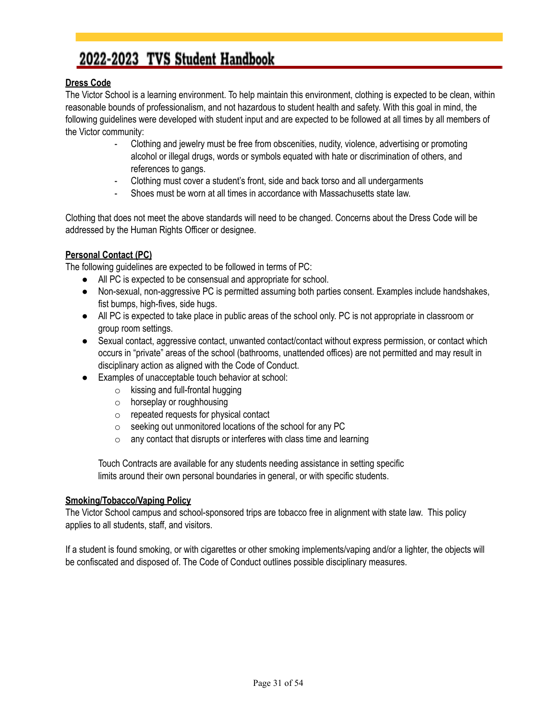#### <span id="page-30-0"></span>**Dress Code**

The Victor School is a learning environment. To help maintain this environment, clothing is expected to be clean, within reasonable bounds of professionalism, and not hazardous to student health and safety. With this goal in mind, the following guidelines were developed with student input and are expected to be followed at all times by all members of the Victor community:

- Clothing and jewelry must be free from obscenities, nudity, violence, advertising or promoting alcohol or illegal drugs, words or symbols equated with hate or discrimination of others, and references to gangs.
- Clothing must cover a student's front, side and back torso and all undergarments
- Shoes must be worn at all times in accordance with Massachusetts state law.

Clothing that does not meet the above standards will need to be changed. Concerns about the Dress Code will be addressed by the Human Rights Officer or designee.

#### **Personal Contact (PC)**

The following guidelines are expected to be followed in terms of PC:

- All PC is expected to be consensual and appropriate for school.
- Non-sexual, non-aggressive PC is permitted assuming both parties consent. Examples include handshakes, fist bumps, high-fives, side hugs.
- All PC is expected to take place in public areas of the school only. PC is not appropriate in classroom or group room settings.
- Sexual contact, aggressive contact, unwanted contact/contact without express permission, or contact which occurs in "private" areas of the school (bathrooms, unattended offices) are not permitted and may result in disciplinary action as aligned with the Code of Conduct.
- Examples of unacceptable touch behavior at school:
	- $\circ$  kissing and full-frontal hugging
	- o horseplay or roughhousing
	- o repeated requests for physical contact
	- o seeking out unmonitored locations of the school for any PC
	- $\circ$  any contact that disrupts or interferes with class time and learning

Touch Contracts are available for any students needing assistance in setting specific limits around their own personal boundaries in general, or with specific students.

#### **Smoking/Tobacco/Vaping Policy**

The Victor School campus and school-sponsored trips are tobacco free in alignment with state law. This policy applies to all students, staff, and visitors.

If a student is found smoking, or with cigarettes or other smoking implements/vaping and/or a lighter, the objects will be confiscated and disposed of. The Code of Conduct outlines possible disciplinary measures.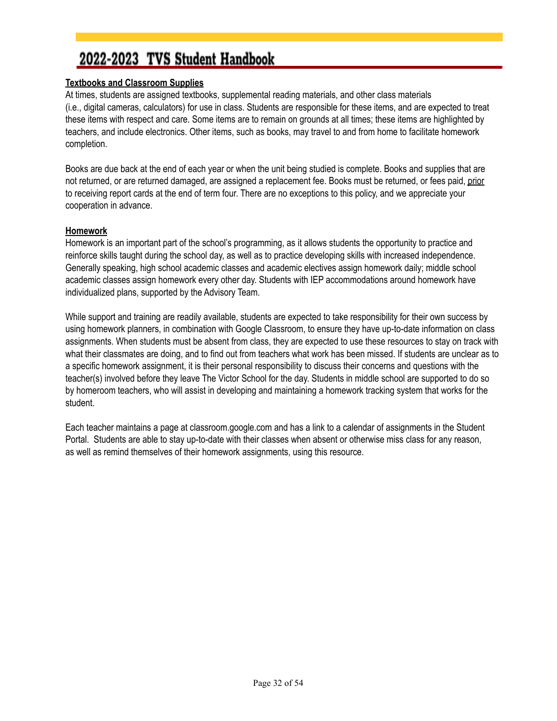#### **Textbooks and Classroom Supplies**

At times, students are assigned textbooks, supplemental reading materials, and other class materials (i.e., digital cameras, calculators) for use in class. Students are responsible for these items, and are expected to treat these items with respect and care. Some items are to remain on grounds at all times; these items are highlighted by teachers, and include electronics. Other items, such as books, may travel to and from home to facilitate homework completion.

Books are due back at the end of each year or when the unit being studied is complete. Books and supplies that are not returned, or are returned damaged, are assigned a replacement fee. Books must be returned, or fees paid, prior to receiving report cards at the end of term four. There are no exceptions to this policy, and we appreciate your cooperation in advance.

#### **Homework**

Homework is an important part of the school's programming, as it allows students the opportunity to practice and reinforce skills taught during the school day, as well as to practice developing skills with increased independence. Generally speaking, high school academic classes and academic electives assign homework daily; middle school academic classes assign homework every other day. Students with IEP accommodations around homework have individualized plans, supported by the Advisory Team.

While support and training are readily available, students are expected to take responsibility for their own success by using homework planners, in combination with Google Classroom, to ensure they have up-to-date information on class assignments. When students must be absent from class, they are expected to use these resources to stay on track with what their classmates are doing, and to find out from teachers what work has been missed. If students are unclear as to a specific homework assignment, it is their personal responsibility to discuss their concerns and questions with the teacher(s) involved before they leave The Victor School for the day. Students in middle school are supported to do so by homeroom teachers, who will assist in developing and maintaining a homework tracking system that works for the student.

Each teacher maintains a page at classroom.google.com and has a link to a calendar of assignments in the Student Portal. Students are able to stay up-to-date with their classes when absent or otherwise miss class for any reason, as well as remind themselves of their homework assignments, using this resource.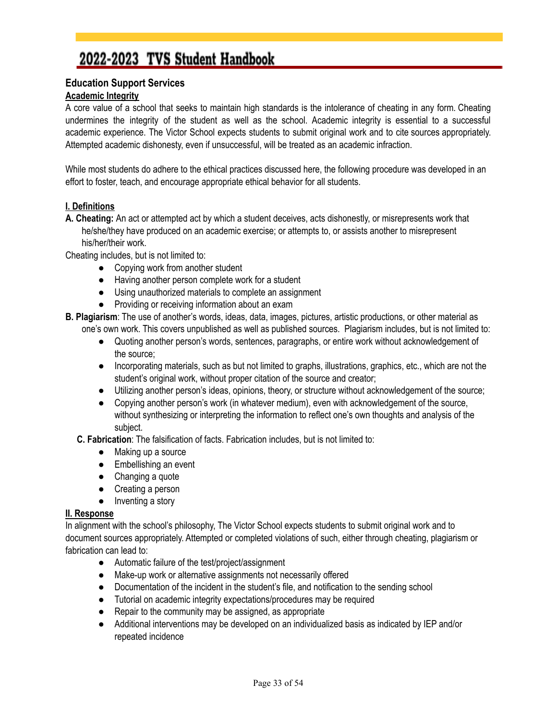#### <span id="page-32-0"></span>**Education Support Services**

#### **Academic Integrity**

A core value of a school that seeks to maintain high standards is the intolerance of cheating in any form. Cheating undermines the integrity of the student as well as the school. Academic integrity is essential to a successful academic experience. The Victor School expects students to submit original work and to cite sources appropriately. Attempted academic dishonesty, even if unsuccessful, will be treated as an academic infraction.

While most students do adhere to the ethical practices discussed here, the following procedure was developed in an effort to foster, teach, and encourage appropriate ethical behavior for all students.

#### **I. Definitions**

**A. Cheating:** An act or attempted act by which a student deceives, acts dishonestly, or misrepresents work that he/she/they have produced on an academic exercise; or attempts to, or assists another to misrepresent his/her/their work.

Cheating includes, but is not limited to:

- Copying work from another student
- Having another person complete work for a student
- Using unauthorized materials to complete an assignment
- Providing or receiving information about an exam
- **B. Plagiarism**: The use of another's words, ideas, data, images, pictures, artistic productions, or other material as one's own work. This covers unpublished as well as published sources. Plagiarism includes, but is not limited to:
	- Quoting another person's words, sentences, paragraphs, or entire work without acknowledgement of the source;
	- Incorporating materials, such as but not limited to graphs, illustrations, graphics, etc., which are not the student's original work, without proper citation of the source and creator;
	- Utilizing another person's ideas, opinions, theory, or structure without acknowledgement of the source;
	- Copying another person's work (in whatever medium), even with acknowledgement of the source, without synthesizing or interpreting the information to reflect one's own thoughts and analysis of the subject.

**C. Fabrication**: The falsification of facts. Fabrication includes, but is not limited to:

- Making up a source
- Embellishing an event
- Changing a quote
- Creating a person
- Inventing a story

#### **II. Response**

In alignment with the school's philosophy, The Victor School expects students to submit original work and to document sources appropriately. Attempted or completed violations of such, either through cheating, plagiarism or fabrication can lead to:

- Automatic failure of the test/project/assignment
- Make-up work or alternative assignments not necessarily offered
- Documentation of the incident in the student's file, and notification to the sending school
- Tutorial on academic integrity expectations/procedures may be required
- Repair to the community may be assigned, as appropriate
- Additional interventions may be developed on an individualized basis as indicated by IEP and/or repeated incidence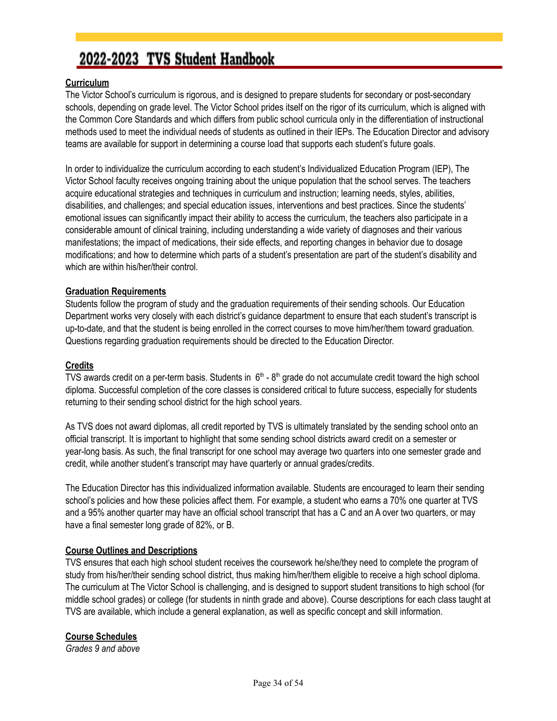#### **Curriculum**

The Victor School's curriculum is rigorous, and is designed to prepare students for secondary or post-secondary schools, depending on grade level. The Victor School prides itself on the rigor of its curriculum, which is aligned with the Common Core Standards and which differs from public school curricula only in the differentiation of instructional methods used to meet the individual needs of students as outlined in their IEPs. The Education Director and advisory teams are available for support in determining a course load that supports each student's future goals.

In order to individualize the curriculum according to each student's Individualized Education Program (IEP), The Victor School faculty receives ongoing training about the unique population that the school serves. The teachers acquire educational strategies and techniques in curriculum and instruction; learning needs, styles, abilities, disabilities, and challenges; and special education issues, interventions and best practices. Since the students' emotional issues can significantly impact their ability to access the curriculum, the teachers also participate in a considerable amount of clinical training, including understanding a wide variety of diagnoses and their various manifestations; the impact of medications, their side effects, and reporting changes in behavior due to dosage modifications; and how to determine which parts of a student's presentation are part of the student's disability and which are within his/her/their control.

#### **Graduation Requirements**

Students follow the program of study and the graduation requirements of their sending schools. Our Education Department works very closely with each district's guidance department to ensure that each student's transcript is up-to-date, and that the student is being enrolled in the correct courses to move him/her/them toward graduation. Questions regarding graduation requirements should be directed to the Education Director.

#### **Credits**

TVS awards credit on a per-term basis. Students in  $6<sup>th</sup>$  -  $8<sup>th</sup>$  grade do not accumulate credit toward the high school diploma. Successful completion of the core classes is considered critical to future success, especially for students returning to their sending school district for the high school years.

As TVS does not award diplomas, all credit reported by TVS is ultimately translated by the sending school onto an official transcript. It is important to highlight that some sending school districts award credit on a semester or year-long basis. As such, the final transcript for one school may average two quarters into one semester grade and credit, while another student's transcript may have quarterly or annual grades/credits.

The Education Director has this individualized information available. Students are encouraged to learn their sending school's policies and how these policies affect them. For example, a student who earns a 70% one quarter at TVS and a 95% another quarter may have an official school transcript that has a C and an A over two quarters, or may have a final semester long grade of 82%, or B.

#### **Course Outlines and Descriptions**

TVS ensures that each high school student receives the coursework he/she/they need to complete the program of study from his/her/their sending school district, thus making him/her/them eligible to receive a high school diploma. The curriculum at The Victor School is challenging, and is designed to support student transitions to high school (for middle school grades) or college (for students in ninth grade and above). Course descriptions for each class taught at TVS are available, which include a general explanation, as well as specific concept and skill information.

#### **Course Schedules**

*Grades 9 and above*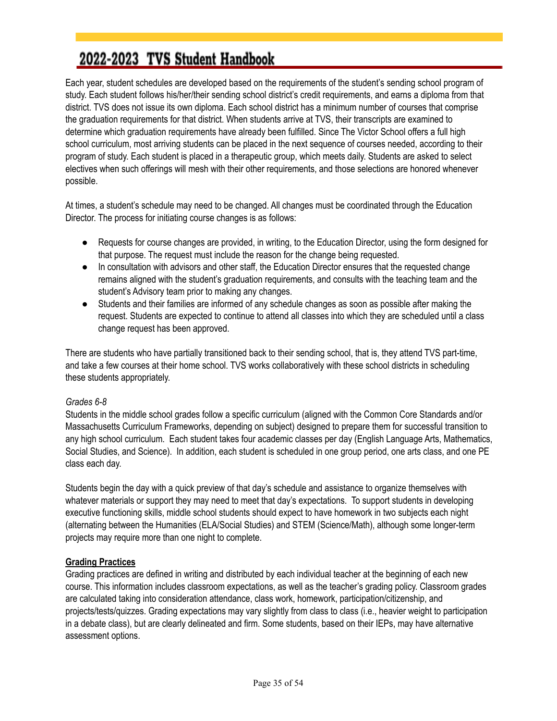Each year, student schedules are developed based on the requirements of the student's sending school program of study. Each student follows his/her/their sending school district's credit requirements, and earns a diploma from that district. TVS does not issue its own diploma. Each school district has a minimum number of courses that comprise the graduation requirements for that district. When students arrive at TVS, their transcripts are examined to determine which graduation requirements have already been fulfilled. Since The Victor School offers a full high school curriculum, most arriving students can be placed in the next sequence of courses needed, according to their program of study. Each student is placed in a therapeutic group, which meets daily. Students are asked to select electives when such offerings will mesh with their other requirements, and those selections are honored whenever possible.

At times, a student's schedule may need to be changed. All changes must be coordinated through the Education Director. The process for initiating course changes is as follows:

- Requests for course changes are provided, in writing, to the Education Director, using the form designed for that purpose. The request must include the reason for the change being requested.
- In consultation with advisors and other staff, the Education Director ensures that the requested change remains aligned with the student's graduation requirements, and consults with the teaching team and the student's Advisory team prior to making any changes.
- Students and their families are informed of any schedule changes as soon as possible after making the request. Students are expected to continue to attend all classes into which they are scheduled until a class change request has been approved.

There are students who have partially transitioned back to their sending school, that is, they attend TVS part-time, and take a few courses at their home school. TVS works collaboratively with these school districts in scheduling these students appropriately.

#### *Grades 6-8*

Students in the middle school grades follow a specific curriculum (aligned with the Common Core Standards and/or Massachusetts Curriculum Frameworks, depending on subject) designed to prepare them for successful transition to any high school curriculum. Each student takes four academic classes per day (English Language Arts, Mathematics, Social Studies, and Science). In addition, each student is scheduled in one group period, one arts class, and one PE class each day.

Students begin the day with a quick preview of that day's schedule and assistance to organize themselves with whatever materials or support they may need to meet that day's expectations. To support students in developing executive functioning skills, middle school students should expect to have homework in two subjects each night (alternating between the Humanities (ELA/Social Studies) and STEM (Science/Math), although some longer-term projects may require more than one night to complete.

#### **Grading Practices**

Grading practices are defined in writing and distributed by each individual teacher at the beginning of each new course. This information includes classroom expectations, as well as the teacher's grading policy. Classroom grades are calculated taking into consideration attendance, class work, homework, participation/citizenship, and projects/tests/quizzes. Grading expectations may vary slightly from class to class (i.e., heavier weight to participation in a debate class), but are clearly delineated and firm. Some students, based on their IEPs, may have alternative assessment options.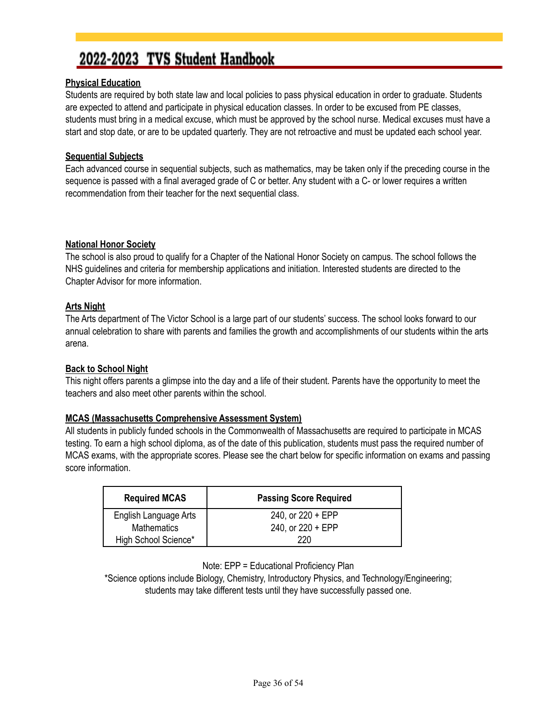#### **Physical Education**

Students are required by both state law and local policies to pass physical education in order to graduate. Students are expected to attend and participate in physical education classes. In order to be excused from PE classes, students must bring in a medical excuse, which must be approved by the school nurse. Medical excuses must have a start and stop date, or are to be updated quarterly. They are not retroactive and must be updated each school year.

#### **Sequential Subjects**

Each advanced course in sequential subjects, such as mathematics, may be taken only if the preceding course in the sequence is passed with a final averaged grade of C or better. Any student with a C- or lower requires a written recommendation from their teacher for the next sequential class.

#### **National Honor Society**

The school is also proud to qualify for a Chapter of the National Honor Society on campus. The school follows the NHS guidelines and criteria for membership applications and initiation. Interested students are directed to the Chapter Advisor for more information.

#### **Arts Night**

The Arts department of The Victor School is a large part of our students' success. The school looks forward to our annual celebration to share with parents and families the growth and accomplishments of our students within the arts arena.

#### **Back to School Night**

This night offers parents a glimpse into the day and a life of their student. Parents have the opportunity to meet the teachers and also meet other parents within the school.

#### **MCAS (Massachusetts Comprehensive Assessment System)**

All students in publicly funded schools in the Commonwealth of Massachusetts are required to participate in MCAS testing. To earn a high school diploma, as of the date of this publication, students must pass the required number of MCAS exams, with the appropriate scores. Please see the chart below for specific information on exams and passing score information.

| <b>Required MCAS</b>  | <b>Passing Score Required</b> |
|-----------------------|-------------------------------|
| English Language Arts | 240, or $220 + EPP$           |
| <b>Mathematics</b>    | 240, or $220 + EPP$           |
| High School Science*  | 220                           |

Note: EPP = Educational Proficiency Plan

\*Science options include Biology, Chemistry, Introductory Physics, and Technology/Engineering; students may take different tests until they have successfully passed one.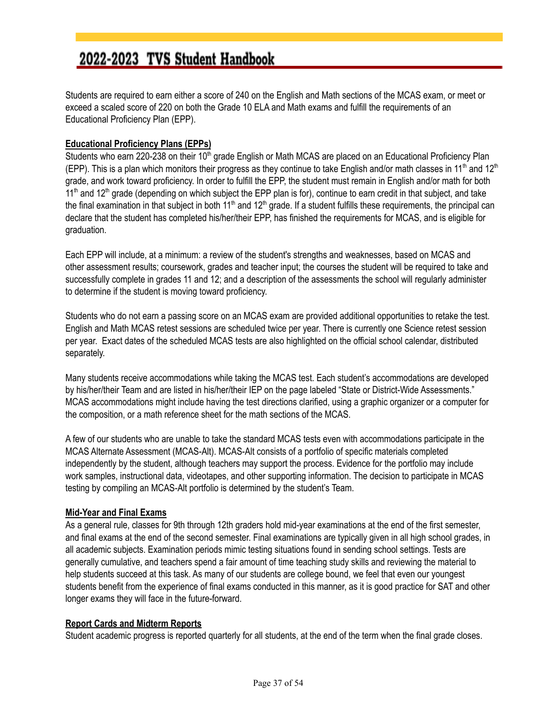Students are required to earn either a score of 240 on the English and Math sections of the MCAS exam, or meet or exceed a scaled score of 220 on both the Grade 10 ELA and Math exams and fulfill the requirements of an Educational Proficiency Plan (EPP).

#### **Educational Proficiency Plans (EPPs)**

Students who earn 220-238 on their 10<sup>th</sup> grade English or Math MCAS are placed on an Educational Proficiency Plan (EPP). This is a plan which monitors their progress as they continue to take English and/or math classes in 11<sup>th</sup> and 12<sup>th</sup> grade, and work toward proficiency. In order to fulfill the EPP, the student must remain in English and/or math for both 11<sup>th</sup> and 12<sup>th</sup> grade (depending on which subject the EPP plan is for), continue to earn credit in that subject, and take the final examination in that subject in both 11<sup>th</sup> and 12<sup>th</sup> grade. If a student fulfills these requirements, the principal can declare that the student has completed his/her/their EPP, has finished the requirements for MCAS, and is eligible for graduation.

Each EPP will include, at a minimum: a review of the student's strengths and weaknesses, based on MCAS and other assessment results; coursework, grades and teacher input; the courses the student will be required to take and successfully complete in grades 11 and 12; and a description of the assessments the school will regularly administer to determine if the student is moving toward proficiency.

Students who do not earn a passing score on an MCAS exam are provided additional opportunities to retake the test. English and Math MCAS retest sessions are scheduled twice per year. There is currently one Science retest session per year. Exact dates of the scheduled MCAS tests are also highlighted on the official school calendar, distributed separately.

Many students receive accommodations while taking the MCAS test. Each student's accommodations are developed by his/her/their Team and are listed in his/her/their IEP on the page labeled "State or District-Wide Assessments." MCAS accommodations might include having the test directions clarified, using a graphic organizer or a computer for the composition, or a math reference sheet for the math sections of the MCAS.

A few of our students who are unable to take the standard MCAS tests even with accommodations participate in the MCAS Alternate Assessment (MCAS-Alt). MCAS-Alt consists of a portfolio of specific materials completed independently by the student, although teachers may support the process. Evidence for the portfolio may include work samples, instructional data, videotapes, and other supporting information. The decision to participate in MCAS testing by compiling an MCAS-Alt portfolio is determined by the student's Team.

#### **Mid-Year and Final Exams**

As a general rule, classes for 9th through 12th graders hold mid-year examinations at the end of the first semester, and final exams at the end of the second semester. Final examinations are typically given in all high school grades, in all academic subjects. Examination periods mimic testing situations found in sending school settings. Tests are generally cumulative, and teachers spend a fair amount of time teaching study skills and reviewing the material to help students succeed at this task. As many of our students are college bound, we feel that even our youngest students benefit from the experience of final exams conducted in this manner, as it is good practice for SAT and other longer exams they will face in the future-forward.

#### **Report Cards and Midterm Reports**

Student academic progress is reported quarterly for all students, at the end of the term when the final grade closes.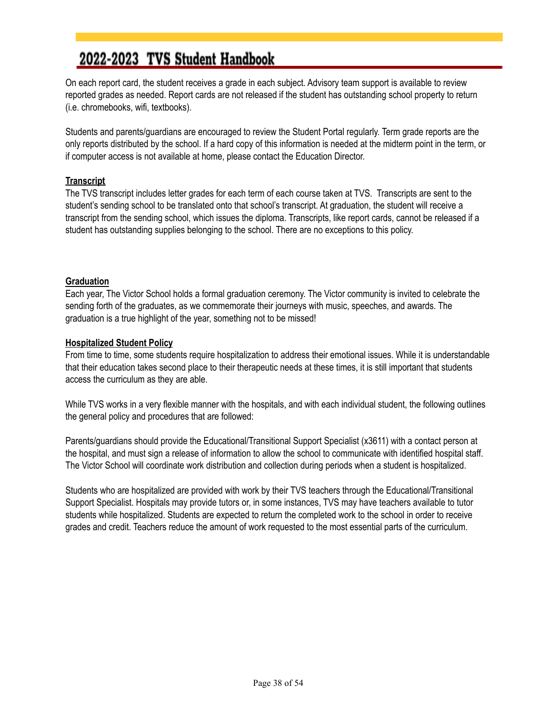On each report card, the student receives a grade in each subject. Advisory team support is available to review reported grades as needed. Report cards are not released if the student has outstanding school property to return (i.e. chromebooks, wifi, textbooks).

Students and parents/guardians are encouraged to review the Student Portal regularly. Term grade reports are the only reports distributed by the school. If a hard copy of this information is needed at the midterm point in the term, or if computer access is not available at home, please contact the Education Director.

#### **Transcript**

The TVS transcript includes letter grades for each term of each course taken at TVS. Transcripts are sent to the student's sending school to be translated onto that school's transcript. At graduation, the student will receive a transcript from the sending school, which issues the diploma. Transcripts, like report cards, cannot be released if a student has outstanding supplies belonging to the school. There are no exceptions to this policy.

#### **Graduation**

Each year, The Victor School holds a formal graduation ceremony. The Victor community is invited to celebrate the sending forth of the graduates, as we commemorate their journeys with music, speeches, and awards. The graduation is a true highlight of the year, something not to be missed!

#### **Hospitalized Student Policy**

From time to time, some students require hospitalization to address their emotional issues. While it is understandable that their education takes second place to their therapeutic needs at these times, it is still important that students access the curriculum as they are able.

While TVS works in a very flexible manner with the hospitals, and with each individual student, the following outlines the general policy and procedures that are followed:

Parents/guardians should provide the Educational/Transitional Support Specialist (x3611) with a contact person at the hospital, and must sign a release of information to allow the school to communicate with identified hospital staff. The Victor School will coordinate work distribution and collection during periods when a student is hospitalized.

Students who are hospitalized are provided with work by their TVS teachers through the Educational/Transitional Support Specialist. Hospitals may provide tutors or, in some instances, TVS may have teachers available to tutor students while hospitalized. Students are expected to return the completed work to the school in order to receive grades and credit. Teachers reduce the amount of work requested to the most essential parts of the curriculum.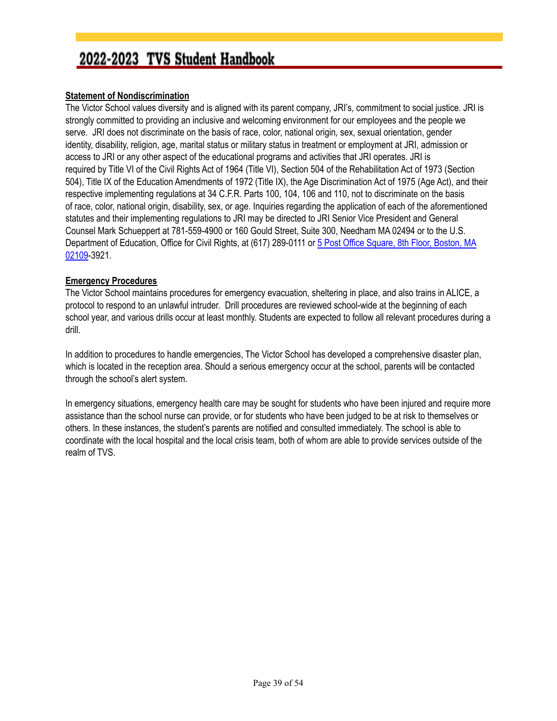#### <span id="page-38-0"></span>**Statement of Nondiscrimination**

The Victor School values diversity and is aligned with its parent company, JRI's, commitment to social justice. JRI is strongly committed to providing an inclusive and welcoming environment for our employees and the people we serve. JRI does not discriminate on the basis of race, color, national origin*,* sex, sexual orientation, gender identity, disability, religion, age, marital status or military status in treatment or employment at JRI, admission or access to JRI or any other aspect of the educational programs and activities that JRI operates. JRI is required by Title VI of the Civil Rights Act of 1964 (Title VI), Section 504 of the Rehabilitation Act of 1973 (Section 504), Title IX of the Education Amendments of 1972 (Title IX), the Age Discrimination Act of 1975 (Age Act), and their respective implementing regulations at 34 C.F.R. Parts 100, 104, 106 and 110, not to discriminate on the basis of race, color, national origin, disability, sex, or age. Inquiries regarding the application of each of the aforementioned statutes and their implementing regulations to JRI may be directed to JRI Senior Vice President and General Counsel Mark Schueppert at 781-559-4900 or 160 Gould Street, Suite 300, Needham MA 02494 or to the U.S. Department of Education, Office for Civil Rights, at (617) 289-0111 or 5 Post Office [Square,](https://maps.google.com/?q=5+Post+Office+Square,+8th+Floor,+Boston,+MA+02109&entry=gmail&source=g) 8th Floor, Boston, MA [02109](https://maps.google.com/?q=5+Post+Office+Square,+8th+Floor,+Boston,+MA+02109&entry=gmail&source=g)-3921.

#### **Emergency Procedures**

The Victor School maintains procedures for emergency evacuation, sheltering in place, and also trains in ALICE, a protocol to respond to an unlawful intruder. Drill procedures are reviewed school-wide at the beginning of each school year, and various drills occur at least monthly. Students are expected to follow all relevant procedures during a drill.

In addition to procedures to handle emergencies, The Victor School has developed a comprehensive disaster plan, which is located in the reception area. Should a serious emergency occur at the school, parents will be contacted through the school's alert system.

In emergency situations, emergency health care may be sought for students who have been injured and require more assistance than the school nurse can provide, or for students who have been judged to be at risk to themselves or others. In these instances, the student's parents are notified and consulted immediately. The school is able to coordinate with the local hospital and the local crisis team, both of whom are able to provide services outside of the realm of TVS.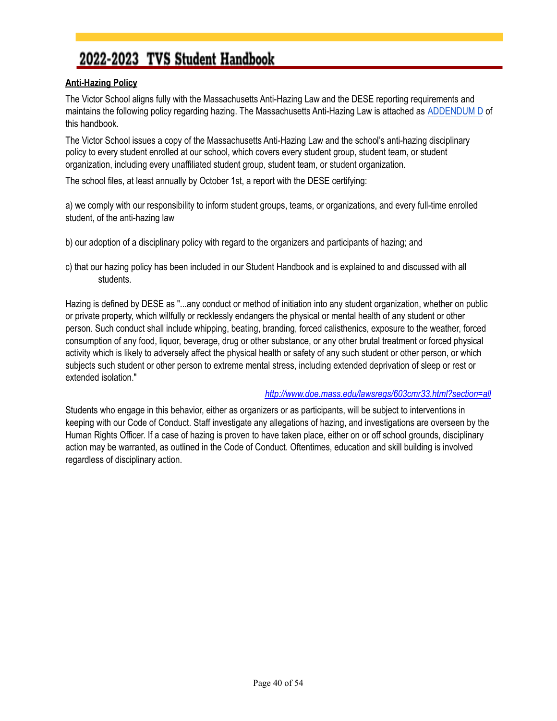#### <span id="page-39-0"></span>**Anti-Hazing Policy**

The Victor School aligns fully with the Massachusetts Anti-Hazing Law and the DESE reporting requirements and maintains the following policy regarding hazing. The Massachusetts Anti-Hazing Law is attached as [ADDENDUM](#page-45-0) D of this handbook.

The Victor School issues a copy of the Massachusetts Anti-Hazing Law and the school's anti-hazing disciplinary policy to every student enrolled at our school, which covers every student group, student team, or student organization, including every unaffiliated student group, student team, or student organization.

The school files, at least annually by October 1st, a report with the DESE certifying:

a) we comply with our responsibility to inform student groups, teams, or organizations, and every full-time enrolled student, of the anti-hazing law

b) our adoption of a disciplinary policy with regard to the organizers and participants of hazing; and

c) that our hazing policy has been included in our Student Handbook and is explained to and discussed with all students.

Hazing is defined by DESE as "...any conduct or method of initiation into any student organization, whether on public or private property, which willfully or recklessly endangers the physical or mental health of any student or other person. Such conduct shall include whipping, beating, branding, forced calisthenics, exposure to the weather, forced consumption of any food, liquor, beverage, drug or other substance, or any other brutal treatment or forced physical activity which is likely to adversely affect the physical health or safety of any such student or other person, or which subjects such student or other person to extreme mental stress, including extended deprivation of sleep or rest or extended isolation."

#### *<http://www.doe.mass.edu/lawsregs/603cmr33.html?section=all>*

Students who engage in this behavior, either as organizers or as participants, will be subject to interventions in keeping with our Code of Conduct. Staff investigate any allegations of hazing, and investigations are overseen by the Human Rights Officer. If a case of hazing is proven to have taken place, either on or off school grounds, disciplinary action may be warranted, as outlined in the Code of Conduct. Oftentimes, education and skill building is involved regardless of disciplinary action.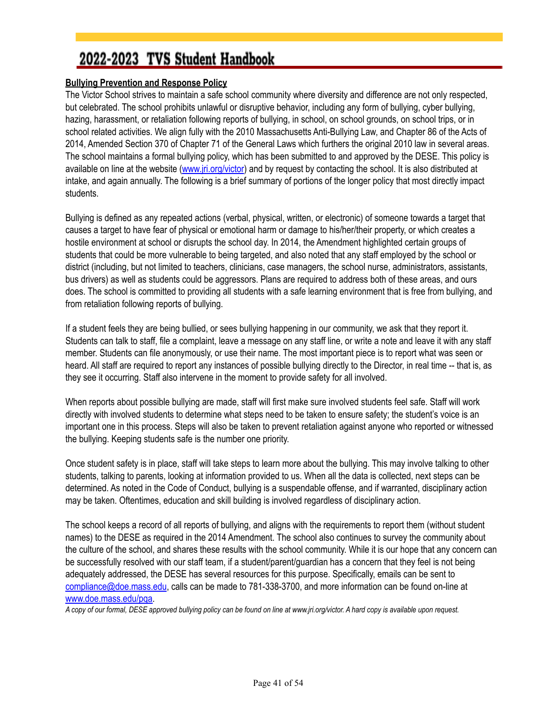#### <span id="page-40-0"></span>**Bullying Prevention and Response Policy**

The Victor School strives to maintain a safe school community where diversity and difference are not only respected, but celebrated. The school prohibits unlawful or disruptive behavior, including any form of bullying, cyber bullying, hazing, harassment, or retaliation following reports of bullying, in school, on school grounds, on school trips, or in school related activities. We align fully with the 2010 Massachusetts Anti-Bullying Law, and Chapter 86 of the Acts of 2014, Amended Section 370 of Chapter 71 of the General Laws which furthers the original 2010 law in several areas. The school maintains a formal bullying policy, which has been submitted to and approved by the DESE. This policy is available on line at the website [\(www.jri.org/victor](http://www.jri.org/victor)) and by request by contacting the school. It is also distributed at intake, and again annually. The following is a brief summary of portions of the longer policy that most directly impact students.

Bullying is defined as any repeated actions (verbal, physical, written, or electronic) of someone towards a target that causes a target to have fear of physical or emotional harm or damage to his/her/their property, or which creates a hostile environment at school or disrupts the school day. In 2014, the Amendment highlighted certain groups of students that could be more vulnerable to being targeted, and also noted that any staff employed by the school or district (including, but not limited to teachers, clinicians, case managers, the school nurse, administrators, assistants, bus drivers) as well as students could be aggressors. Plans are required to address both of these areas, and ours does. The school is committed to providing all students with a safe learning environment that is free from bullying, and from retaliation following reports of bullying.

If a student feels they are being bullied, or sees bullying happening in our community, we ask that they report it. Students can talk to staff, file a complaint, leave a message on any staff line, or write a note and leave it with any staff member. Students can file anonymously, or use their name. The most important piece is to report what was seen or heard. All staff are required to report any instances of possible bullying directly to the Director, in real time -- that is, as they see it occurring. Staff also intervene in the moment to provide safety for all involved.

When reports about possible bullying are made, staff will first make sure involved students feel safe. Staff will work directly with involved students to determine what steps need to be taken to ensure safety; the student's voice is an important one in this process. Steps will also be taken to prevent retaliation against anyone who reported or witnessed the bullying. Keeping students safe is the number one priority.

Once student safety is in place, staff will take steps to learn more about the bullying. This may involve talking to other students, talking to parents, looking at information provided to us. When all the data is collected, next steps can be determined. As noted in the Code of Conduct, bullying is a suspendable offense, and if warranted, disciplinary action may be taken. Oftentimes, education and skill building is involved regardless of disciplinary action.

The school keeps a record of all reports of bullying, and aligns with the requirements to report them (without student names) to the DESE as required in the 2014 Amendment. The school also continues to survey the community about the culture of the school, and shares these results with the school community. While it is our hope that any concern can be successfully resolved with our staff team, if a student/parent/guardian has a concern that they feel is not being adequately addressed, the DESE has several resources for this purpose. Specifically, emails can be sent to [compliance@doe.mass.edu](mailto:compliance@doe.mass.edu), calls can be made to 781-338-3700, and more information can be found on-line at [www.doe.mass.edu/pqa.](http://www.doe.mass.edu/pqa)

*A copy of our formal, DESE approved bullying policy can be found on line at www.jri.org/victor. A hard copy is available upon request.*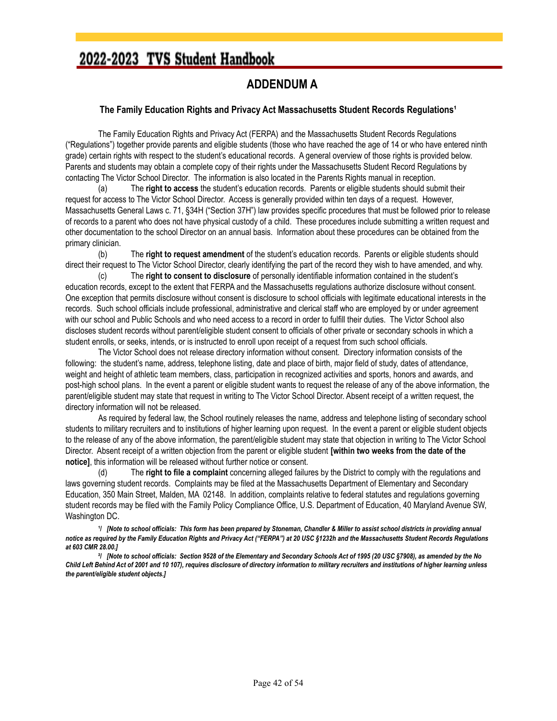#### **ADDENDUM A**

#### <span id="page-41-0"></span>**The Family Education Rights and Privacy Act Massachusetts Student Records Regulations¹**

The Family Education Rights and Privacy Act (FERPA) and the Massachusetts Student Records Regulations ("Regulations") together provide parents and eligible students (those who have reached the age of 14 or who have entered ninth grade) certain rights with respect to the student's educational records. A general overview of those rights is provided below. Parents and students may obtain a complete copy of their rights under the Massachusetts Student Record Regulations by contacting The Victor School Director. The information is also located in the Parents Rights manual in reception.

(a) The **right to access** the student's education records. Parents or eligible students should submit their request for access to The Victor School Director. Access is generally provided within ten days of a request. However, Massachusetts General Laws c. 71, §34H ("Section 37H") law provides specific procedures that must be followed prior to release of records to a parent who does not have physical custody of a child. These procedures include submitting a written request and other documentation to the school Director on an annual basis. Information about these procedures can be obtained from the primary clinician.

(b) The **right to request amendment** of the student's education records. Parents or eligible students should direct their request to The Victor School Director, clearly identifying the part of the record they wish to have amended, and why.

(c) The **right to consent to disclosure** of personally identifiable information contained in the student's education records, except to the extent that FERPA and the Massachusetts regulations authorize disclosure without consent. One exception that permits disclosure without consent is disclosure to school officials with legitimate educational interests in the records. Such school officials include professional, administrative and clerical staff who are employed by or under agreement with our school and Public Schools and who need access to a record in order to fulfill their duties. The Victor School also discloses student records without parent/eligible student consent to officials of other private or secondary schools in which a student enrolls, or seeks, intends, or is instructed to enroll upon receipt of a request from such school officials.

The Victor School does not release directory information without consent. Directory information consists of the following: the student's name, address, telephone listing, date and place of birth, major field of study, dates of attendance, weight and height of athletic team members, class, participation in recognized activities and sports, honors and awards, and post-high school plans. In the event a parent or eligible student wants to request the release of any of the above information, the parent/eligible student may state that request in writing to The Victor School Director. Absent receipt of a written request, the directory information will not be released.

As required by federal law, the School routinely releases the name, address and telephone listing of secondary school students to military recruiters and to institutions of higher learning upon request. In the event a parent or eligible student objects to the release of any of the above information, the parent/eligible student may state that objection in writing to The Victor School Director. Absent receipt of a written objection from the parent or eligible student **[within two weeks from the date of the notice]**, this information will be released without further notice or consent.

(d) The **right to file a complaint** concerning alleged failures by the District to comply with the regulations and laws governing student records. Complaints may be filed at the Massachusetts Department of Elementary and Secondary Education, 350 Main Street, Malden, MA 02148. In addition, complaints relative to federal statutes and regulations governing student records may be filed with the Family Policy Compliance Office, U.S. Department of Education, 40 Maryland Avenue SW, Washington DC.

1/ [Note to school officials: This form has been prepared by Stoneman, Chandler & Miller to assist school districts in providing annual notice as required by the Family Education Rights and Privacy Act ("FERPA") at 20 USC §1232h and the Massachusetts Student Records Regulations *at 603 CMR 28.00.]*

<sup>2</sup>| [Note to school officials: Section 9528 of the Elementary and Secondary Schools Act of 1995 (20 USC §7908), as amended by the No Child Left Behind Act of 2001 and 10 107), requires disclosure of directory information to military recruiters and institutions of higher learning unless *the parent/eligible student objects.]*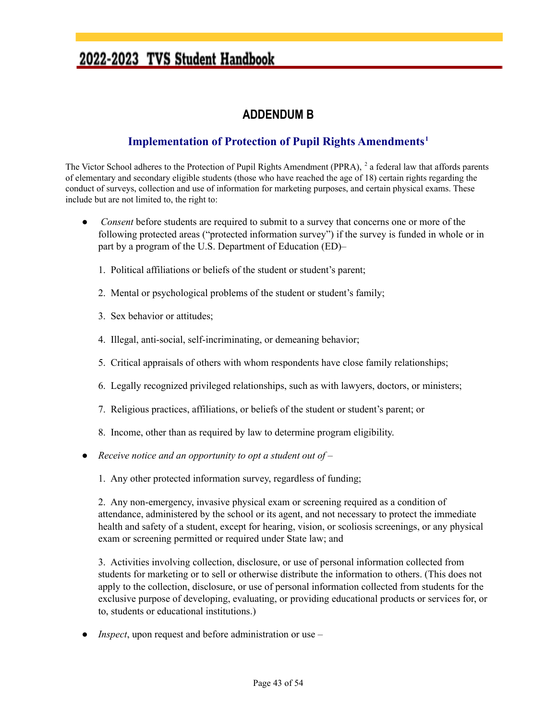#### **ADDENDUM B**

#### **Implementation of Protection of Pupil Rights Amendments 1**

<span id="page-42-0"></span>The Victor School adheres to the Protection of Pupil Rights Amendment (PPRA), <sup>2</sup> a federal law that affords parents of elementary and secondary eligible students (those who have reached the age of 18) certain rights regarding the conduct of surveys, collection and use of information for marketing purposes, and certain physical exams. These include but are not limited to, the right to:

- *Consent* before students are required to submit to a survey that concerns one or more of the following protected areas ("protected information survey") if the survey is funded in whole or in part by a program of the U.S. Department of Education (ED)–
	- 1. Political affiliations or beliefs of the student or student's parent;
	- 2. Mental or psychological problems of the student or student's family;
	- 3. Sex behavior or attitudes;
	- 4. Illegal, anti-social, self-incriminating, or demeaning behavior;
	- 5. Critical appraisals of others with whom respondents have close family relationships;
	- 6. Legally recognized privileged relationships, such as with lawyers, doctors, or ministers;
	- 7. Religious practices, affiliations, or beliefs of the student or student's parent; or
	- 8. Income, other than as required by law to determine program eligibility.
- *Receive notice and an opportunity to opt a student out of* 
	- 1. Any other protected information survey, regardless of funding;

2. Any non-emergency, invasive physical exam or screening required as a condition of attendance, administered by the school or its agent, and not necessary to protect the immediate health and safety of a student, except for hearing, vision, or scoliosis screenings, or any physical exam or screening permitted or required under State law; and

3. Activities involving collection, disclosure, or use of personal information collected from students for marketing or to sell or otherwise distribute the information to others. (This does not apply to the collection, disclosure, or use of personal information collected from students for the exclusive purpose of developing, evaluating, or providing educational products or services for, or to, students or educational institutions.)

*Inspect*, upon request and before administration or use  $-$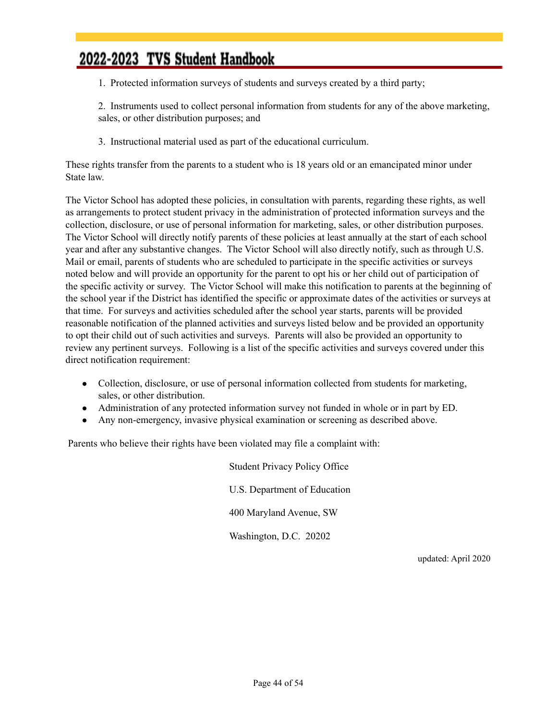1. Protected information surveys of students and surveys created by a third party;

2. Instruments used to collect personal information from students for any of the above marketing, sales, or other distribution purposes; and

3. Instructional material used as part of the educational curriculum.

These rights transfer from the parents to a student who is 18 years old or an emancipated minor under State law.

The Victor School has adopted these policies, in consultation with parents, regarding these rights, as well as arrangements to protect student privacy in the administration of protected information surveys and the collection, disclosure, or use of personal information for marketing, sales, or other distribution purposes. The Victor School will directly notify parents of these policies at least annually at the start of each school year and after any substantive changes. The Victor School will also directly notify, such as through U.S. Mail or email, parents of students who are scheduled to participate in the specific activities or surveys noted below and will provide an opportunity for the parent to opt his or her child out of participation of the specific activity or survey. The Victor School will make this notification to parents at the beginning of the school year if the District has identified the specific or approximate dates of the activities or surveys at that time. For surveys and activities scheduled after the school year starts, parents will be provided reasonable notification of the planned activities and surveys listed below and be provided an opportunity to opt their child out of such activities and surveys. Parents will also be provided an opportunity to review any pertinent surveys. Following is a list of the specific activities and surveys covered under this direct notification requirement:

- Collection, disclosure, or use of personal information collected from students for marketing, sales, or other distribution.
- Administration of any protected information survey not funded in whole or in part by ED.
- Any non-emergency, invasive physical examination or screening as described above.

Parents who believe their rights have been violated may file a complaint with:

Student Privacy Policy Office U.S. Department of Education 400 Maryland Avenue, SW Washington, D.C. 20202

updated: April 2020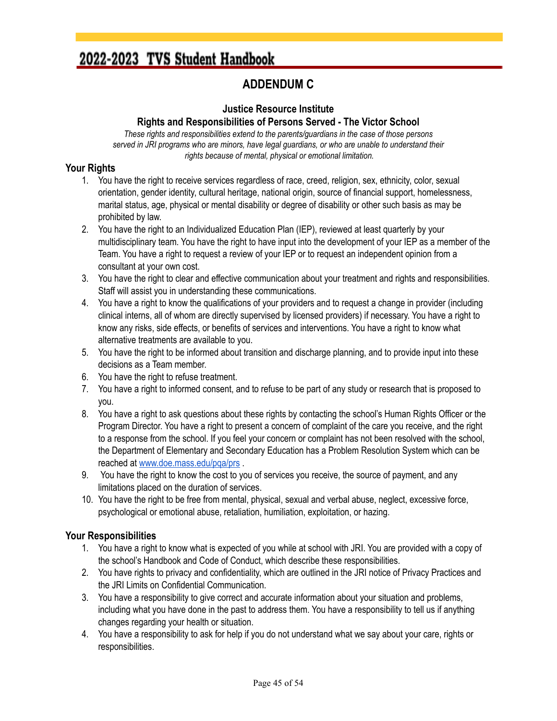#### **ADDENDUM C**

#### **Justice Resource Institute**

#### **Rights and Responsibilities of Persons Served - The Victor School**

<span id="page-44-0"></span>*These rights and responsibilities extend to the parents/guardians in the case of those persons served in JRI programs who are minors, have legal guardians, or who are unable to understand their rights because of mental, physical or emotional limitation.*

#### **Your Rights**

- 1. You have the right to receive services regardless of race, creed, religion, sex, ethnicity, color, sexual orientation, gender identity, cultural heritage, national origin, source of financial support, homelessness, marital status, age, physical or mental disability or degree of disability or other such basis as may be prohibited by law.
- 2. You have the right to an Individualized Education Plan (IEP), reviewed at least quarterly by your multidisciplinary team. You have the right to have input into the development of your IEP as a member of the Team. You have a right to request a review of your IEP or to request an independent opinion from a consultant at your own cost.
- 3. You have the right to clear and effective communication about your treatment and rights and responsibilities. Staff will assist you in understanding these communications.
- 4. You have a right to know the qualifications of your providers and to request a change in provider (including clinical interns, all of whom are directly supervised by licensed providers) if necessary. You have a right to know any risks, side effects, or benefits of services and interventions. You have a right to know what alternative treatments are available to you.
- 5. You have the right to be informed about transition and discharge planning, and to provide input into these decisions as a Team member.
- 6. You have the right to refuse treatment.
- 7. You have a right to informed consent, and to refuse to be part of any study or research that is proposed to you.
- 8. You have a right to ask questions about these rights by contacting the school's Human Rights Officer or the Program Director. You have a right to present a concern of complaint of the care you receive, and the right to a response from the school. If you feel your concern or complaint has not been resolved with the school, the Department of Elementary and Secondary Education has a Problem Resolution System which can be reached at [www.doe.mass.edu/pqa/prs](http://www.doe.mass.edu/pqa/prs) .
- 9. You have the right to know the cost to you of services you receive, the source of payment, and any limitations placed on the duration of services.
- 10. You have the right to be free from mental, physical, sexual and verbal abuse, neglect, excessive force, psychological or emotional abuse, retaliation, humiliation, exploitation, or hazing.

#### **Your Responsibilities**

- 1. You have a right to know what is expected of you while at school with JRI. You are provided with a copy of the school's Handbook and Code of Conduct, which describe these responsibilities.
- 2. You have rights to privacy and confidentiality, which are outlined in the JRI notice of Privacy Practices and the JRI Limits on Confidential Communication.
- 3. You have a responsibility to give correct and accurate information about your situation and problems, including what you have done in the past to address them. You have a responsibility to tell us if anything changes regarding your health or situation.
- 4. You have a responsibility to ask for help if you do not understand what we say about your care, rights or responsibilities.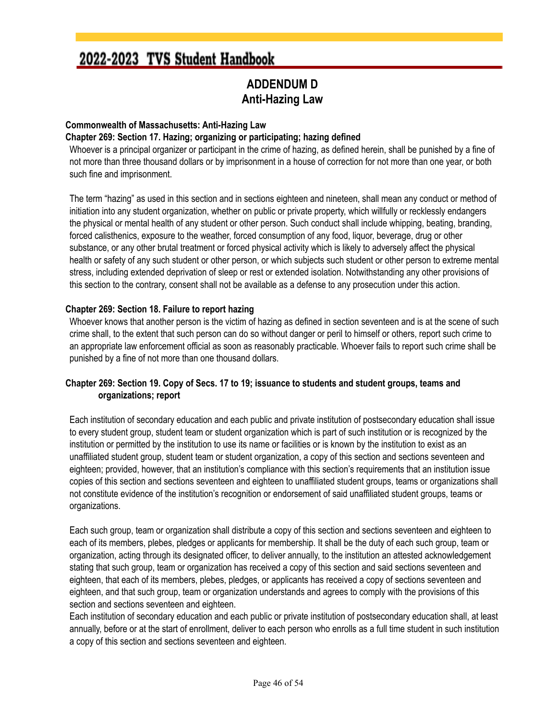#### **ADDENDUM D Anti-Hazing Law**

#### <span id="page-45-0"></span>**Commonwealth of Massachusetts: Anti-Hazing Law**

#### **Chapter 269: Section 17. Hazing; organizing or participating; hazing defined**

Whoever is a principal organizer or participant in the crime of hazing, as defined herein, shall be punished by a fine of not more than three thousand dollars or by imprisonment in a house of correction for not more than one year, or both such fine and imprisonment.

The term "hazing" as used in this section and in sections eighteen and nineteen, shall mean any conduct or method of initiation into any student organization, whether on public or private property, which willfully or recklessly endangers the physical or mental health of any student or other person. Such conduct shall include whipping, beating, branding, forced calisthenics, exposure to the weather, forced consumption of any food, liquor, beverage, drug or other substance, or any other brutal treatment or forced physical activity which is likely to adversely affect the physical health or safety of any such student or other person, or which subjects such student or other person to extreme mental stress, including extended deprivation of sleep or rest or extended isolation. Notwithstanding any other provisions of this section to the contrary, consent shall not be available as a defense to any prosecution under this action.

#### **Chapter 269: Section 18. Failure to report hazing**

Whoever knows that another person is the victim of hazing as defined in section seventeen and is at the scene of such crime shall, to the extent that such person can do so without danger or peril to himself or others, report such crime to an appropriate law enforcement official as soon as reasonably practicable. Whoever fails to report such crime shall be punished by a fine of not more than one thousand dollars.

#### Chapter 269: Section 19. Copy of Secs. 17 to 19; issuance to students and student groups, teams and **organizations; report**

Each institution of secondary education and each public and private institution of postsecondary education shall issue to every student group, student team or student organization which is part of such institution or is recognized by the institution or permitted by the institution to use its name or facilities or is known by the institution to exist as an unaffiliated student group, student team or student organization, a copy of this section and sections seventeen and eighteen; provided, however, that an institution's compliance with this section's requirements that an institution issue copies of this section and sections seventeen and eighteen to unaffiliated student groups, teams or organizations shall not constitute evidence of the institution's recognition or endorsement of said unaffiliated student groups, teams or organizations.

Each such group, team or organization shall distribute a copy of this section and sections seventeen and eighteen to each of its members, plebes, pledges or applicants for membership. It shall be the duty of each such group, team or organization, acting through its designated officer, to deliver annually, to the institution an attested acknowledgement stating that such group, team or organization has received a copy of this section and said sections seventeen and eighteen, that each of its members, plebes, pledges, or applicants has received a copy of sections seventeen and eighteen, and that such group, team or organization understands and agrees to comply with the provisions of this section and sections seventeen and eighteen.

Each institution of secondary education and each public or private institution of postsecondary education shall, at least annually, before or at the start of enrollment, deliver to each person who enrolls as a full time student in such institution a copy of this section and sections seventeen and eighteen.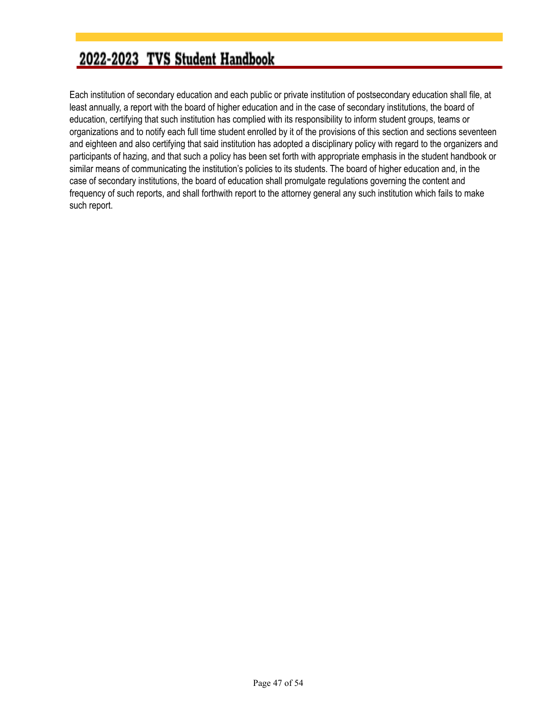Each institution of secondary education and each public or private institution of postsecondary education shall file, at least annually, a report with the board of higher education and in the case of secondary institutions, the board of education, certifying that such institution has complied with its responsibility to inform student groups, teams or organizations and to notify each full time student enrolled by it of the provisions of this section and sections seventeen and eighteen and also certifying that said institution has adopted a disciplinary policy with regard to the organizers and participants of hazing, and that such a policy has been set forth with appropriate emphasis in the student handbook or similar means of communicating the institution's policies to its students. The board of higher education and, in the case of secondary institutions, the board of education shall promulgate regulations governing the content and frequency of such reports, and shall forthwith report to the attorney general any such institution which fails to make such report.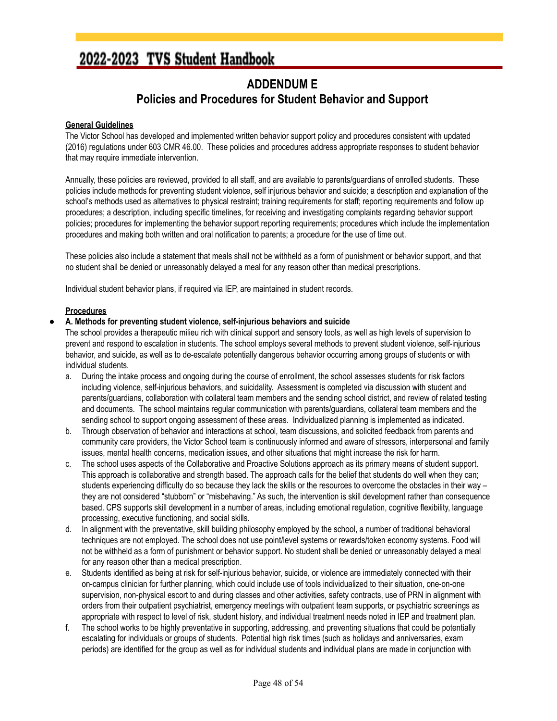#### **ADDENDUM E Policies and Procedures for Student Behavior and Support**

#### <span id="page-47-0"></span>**General Guidelines**

The Victor School has developed and implemented written behavior support policy and procedures consistent with updated (2016) regulations under 603 CMR 46.00. These policies and procedures address appropriate responses to student behavior that may require immediate intervention.

Annually, these policies are reviewed, provided to all staff, and are available to parents/guardians of enrolled students. These policies include methods for preventing student violence, self injurious behavior and suicide; a description and explanation of the school's methods used as alternatives to physical restraint; training requirements for staff; reporting requirements and follow up procedures; a description, including specific timelines, for receiving and investigating complaints regarding behavior support policies; procedures for implementing the behavior support reporting requirements; procedures which include the implementation procedures and making both written and oral notification to parents; a procedure for the use of time out.

These policies also include a statement that meals shall not be withheld as a form of punishment or behavior support, and that no student shall be denied or unreasonably delayed a meal for any reason other than medical prescriptions.

Individual student behavior plans, if required via IEP, are maintained in student records.

#### **Procedures**

#### **● A. Methods for preventing student violence, self-injurious behaviors and suicide**

The school provides a therapeutic milieu rich with clinical support and sensory tools, as well as high levels of supervision to prevent and respond to escalation in students. The school employs several methods to prevent student violence, self-injurious behavior, and suicide, as well as to de-escalate potentially dangerous behavior occurring among groups of students or with individual students.

- a. During the intake process and ongoing during the course of enrollment, the school assesses students for risk factors including violence, self-injurious behaviors, and suicidality. Assessment is completed via discussion with student and parents/guardians, collaboration with collateral team members and the sending school district, and review of related testing and documents. The school maintains regular communication with parents/guardians, collateral team members and the sending school to support ongoing assessment of these areas. Individualized planning is implemented as indicated.
- b. Through observation of behavior and interactions at school, team discussions, and solicited feedback from parents and community care providers, the Victor School team is continuously informed and aware of stressors, interpersonal and family issues, mental health concerns, medication issues, and other situations that might increase the risk for harm.
- c. The school uses aspects of the Collaborative and Proactive Solutions approach as its primary means of student support. This approach is collaborative and strength based. The approach calls for the belief that students do well when they can; students experiencing difficulty do so because they lack the skills or the resources to overcome the obstacles in their way – they are not considered "stubborn" or "misbehaving." As such, the intervention is skill development rather than consequence based. CPS supports skill development in a number of areas, including emotional regulation, cognitive flexibility, language processing, executive functioning, and social skills.
- d. In alignment with the preventative, skill building philosophy employed by the school, a number of traditional behavioral techniques are not employed. The school does not use point/level systems or rewards/token economy systems. Food will not be withheld as a form of punishment or behavior support. No student shall be denied or unreasonably delayed a meal for any reason other than a medical prescription.
- e. Students identified as being at risk for self-injurious behavior, suicide, or violence are immediately connected with their on-campus clinician for further planning, which could include use of tools individualized to their situation, one-on-one supervision, non-physical escort to and during classes and other activities, safety contracts, use of PRN in alignment with orders from their outpatient psychiatrist, emergency meetings with outpatient team supports, or psychiatric screenings as appropriate with respect to level of risk, student history, and individual treatment needs noted in IEP and treatment plan.
- f. The school works to be highly preventative in supporting, addressing, and preventing situations that could be potentially escalating for individuals or groups of students. Potential high risk times (such as holidays and anniversaries, exam periods) are identified for the group as well as for individual students and individual plans are made in conjunction with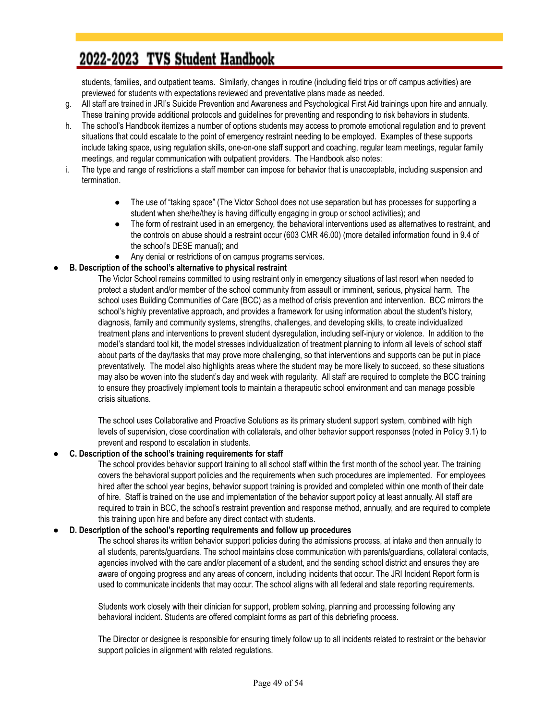students, families, and outpatient teams. Similarly, changes in routine (including field trips or off campus activities) are previewed for students with expectations reviewed and preventative plans made as needed.

- g. All staff are trained in JRI's Suicide Prevention and Awareness and Psychological First Aid trainings upon hire and annually. These training provide additional protocols and guidelines for preventing and responding to risk behaviors in students.
- h. The school's Handbook itemizes a number of options students may access to promote emotional regulation and to prevent situations that could escalate to the point of emergency restraint needing to be employed. Examples of these supports include taking space, using regulation skills, one-on-one staff support and coaching, regular team meetings, regular family meetings, and regular communication with outpatient providers. The Handbook also notes:
- i. The type and range of restrictions a staff member can impose for behavior that is unacceptable, including suspension and termination.
	- The use of "taking space" (The Victor School does not use separation but has processes for supporting a student when she/he/they is having difficulty engaging in group or school activities); and
	- The form of restraint used in an emergency, the behavioral interventions used as alternatives to restraint, and the controls on abuse should a restraint occur (603 CMR 46.00) (more detailed information found in 9.4 of the school's DESE manual); and
	- Any denial or restrictions of on campus programs services.

#### **● B. Description of the school's alternative to physical restraint**

The Victor School remains committed to using restraint only in emergency situations of last resort when needed to protect a student and/or member of the school community from assault or imminent, serious, physical harm. The school uses Building Communities of Care (BCC) as a method of crisis prevention and intervention. BCC mirrors the school's highly preventative approach, and provides a framework for using information about the student's history, diagnosis, family and community systems, strengths, challenges, and developing skills, to create individualized treatment plans and interventions to prevent student dysregulation, including self-injury or violence. In addition to the model's standard tool kit, the model stresses individualization of treatment planning to inform all levels of school staff about parts of the day/tasks that may prove more challenging, so that interventions and supports can be put in place preventatively. The model also highlights areas where the student may be more likely to succeed, so these situations may also be woven into the student's day and week with regularity. All staff are required to complete the BCC training to ensure they proactively implement tools to maintain a therapeutic school environment and can manage possible crisis situations.

The school uses Collaborative and Proactive Solutions as its primary student support system, combined with high levels of supervision, close coordination with collaterals, and other behavior support responses (noted in Policy 9.1) to prevent and respond to escalation in students.

#### **● C. Description of the school's training requirements for staff**

The school provides behavior support training to all school staff within the first month of the school year. The training covers the behavioral support policies and the requirements when such procedures are implemented. For employees hired after the school year begins, behavior support training is provided and completed within one month of their date of hire. Staff is trained on the use and implementation of the behavior support policy at least annually. All staff are required to train in BCC, the school's restraint prevention and response method, annually, and are required to complete this training upon hire and before any direct contact with students.

#### **● D. Description of the school's reporting requirements and follow up procedures**

The school shares its written behavior support policies during the admissions process, at intake and then annually to all students, parents/guardians. The school maintains close communication with parents/guardians, collateral contacts, agencies involved with the care and/or placement of a student, and the sending school district and ensures they are aware of ongoing progress and any areas of concern, including incidents that occur. The JRI Incident Report form is used to communicate incidents that may occur. The school aligns with all federal and state reporting requirements.

Students work closely with their clinician for support, problem solving, planning and processing following any behavioral incident. Students are offered complaint forms as part of this debriefing process.

The Director or designee is responsible for ensuring timely follow up to all incidents related to restraint or the behavior support policies in alignment with related regulations.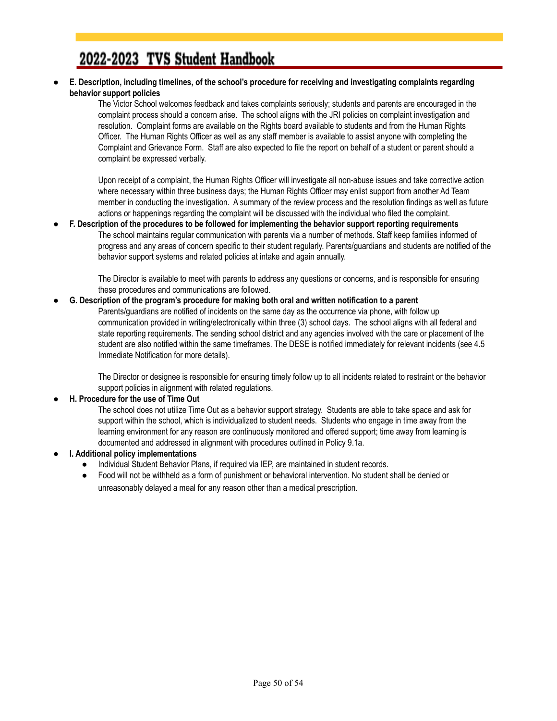**● E. Description, including timelines, of the school's procedure for receiving and investigating complaints regarding behavior support policies**

> The Victor School welcomes feedback and takes complaints seriously; students and parents are encouraged in the complaint process should a concern arise. The school aligns with the JRI policies on complaint investigation and resolution. Complaint forms are available on the Rights board available to students and from the Human Rights Officer. The Human Rights Officer as well as any staff member is available to assist anyone with completing the Complaint and Grievance Form. Staff are also expected to file the report on behalf of a student or parent should a complaint be expressed verbally.

Upon receipt of a complaint, the Human Rights Officer will investigate all non-abuse issues and take corrective action where necessary within three business days; the Human Rights Officer may enlist support from another Ad Team member in conducting the investigation. A summary of the review process and the resolution findings as well as future actions or happenings regarding the complaint will be discussed with the individual who filed the complaint.

● **F. Description of the procedures to be followed for implementing the behavior support reporting requirements** The school maintains regular communication with parents via a number of methods. Staff keep families informed of progress and any areas of concern specific to their student regularly. Parents/guardians and students are notified of the behavior support systems and related policies at intake and again annually.

> The Director is available to meet with parents to address any questions or concerns, and is responsible for ensuring these procedures and communications are followed.

#### **● G. Description of the program's procedure for making both oral and written notification to a parent**

Parents/guardians are notified of incidents on the same day as the occurrence via phone, with follow up communication provided in writing/electronically within three (3) school days. The school aligns with all federal and state reporting requirements. The sending school district and any agencies involved with the care or placement of the student are also notified within the same timeframes. The DESE is notified immediately for relevant incidents (see 4.5 Immediate Notification for more details).

The Director or designee is responsible for ensuring timely follow up to all incidents related to restraint or the behavior support policies in alignment with related regulations.

#### **● H. Procedure for the use of Time Out**

The school does not utilize Time Out as a behavior support strategy. Students are able to take space and ask for support within the school, which is individualized to student needs. Students who engage in time away from the learning environment for any reason are continuously monitored and offered support; time away from learning is documented and addressed in alignment with procedures outlined in Policy 9.1a.

#### **● I. Additional policy implementations**

- Individual Student Behavior Plans, if required via IEP, are maintained in student records.
- Food will not be withheld as a form of punishment or behavioral intervention. No student shall be denied or unreasonably delayed a meal for any reason other than a medical prescription.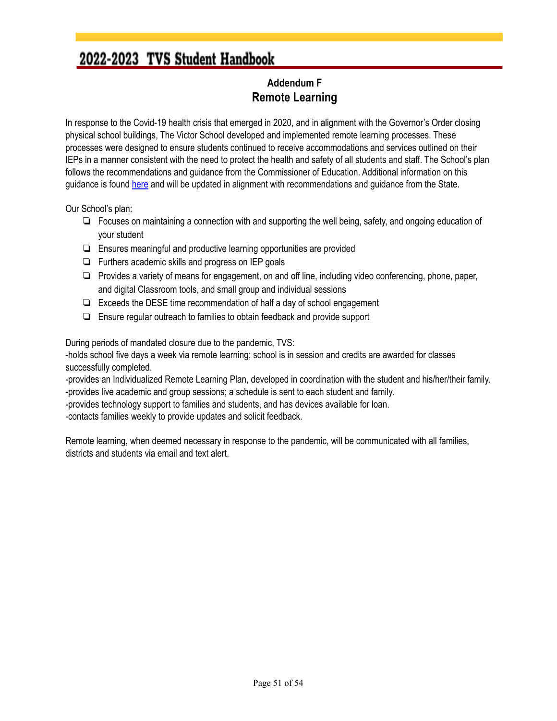#### **Addendum F Remote Learning**

<span id="page-50-0"></span>In response to the Covid-19 health crisis that emerged in 2020, and in alignment with the Governor's Order closing physical school buildings, The Victor School developed and implemented remote learning processes. These processes were designed to ensure students continued to receive accommodations and services outlined on their IEPs in a manner consistent with the need to protect the health and safety of all students and staff. The School's plan follows the recommendations and guidance from the Commissioner of Education. Additional information on this guidance is found [here](https://drive.google.com/file/d/1Ff_GG63SknjVTkVRGKfQP-1rKtmIc1MA/view) and will be updated in alignment with recommendations and guidance from the State.

Our School's plan:

- ❏ Focuses on maintaining a connection with and supporting the well being, safety, and ongoing education of your student
- ❏ Ensures meaningful and productive learning opportunities are provided
- ❏ Furthers academic skills and progress on IEP goals
- ❏ Provides a variety of means for engagement, on and off line, including video conferencing, phone, paper, and digital Classroom tools, and small group and individual sessions
- ❏ Exceeds the DESE time recommendation of half a day of school engagement
- ❏ Ensure regular outreach to families to obtain feedback and provide support

During periods of mandated closure due to the pandemic, TVS:

-holds school five days a week via remote learning; school is in session and credits are awarded for classes successfully completed.

-provides an Individualized Remote Learning Plan, developed in coordination with the student and his/her/their family. -provides live academic and group sessions; a schedule is sent to each student and family.

-provides technology support to families and students, and has devices available for loan.

-contacts families weekly to provide updates and solicit feedback.

Remote learning, when deemed necessary in response to the pandemic, will be communicated with all families, districts and students via email and text alert.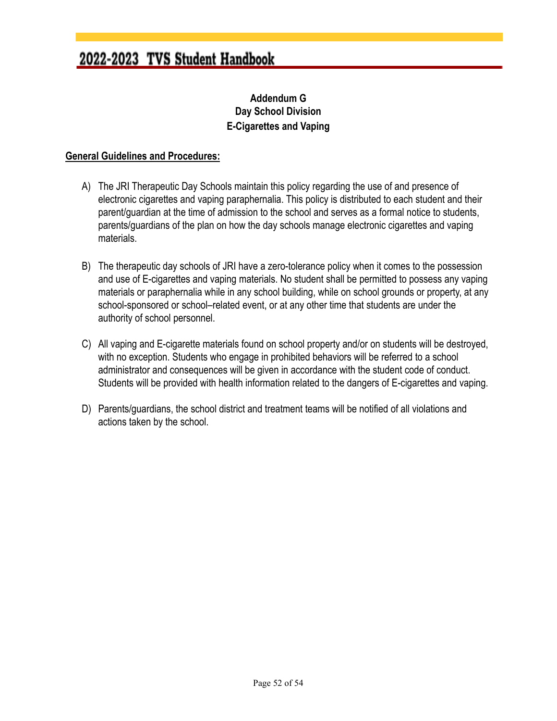#### **Addendum G Day School Division E-Cigarettes and Vaping**

#### <span id="page-51-0"></span>**General Guidelines and Procedures:**

- A) The JRI Therapeutic Day Schools maintain this policy regarding the use of and presence of electronic cigarettes and vaping paraphernalia. This policy is distributed to each student and their parent/guardian at the time of admission to the school and serves as a formal notice to students, parents/guardians of the plan on how the day schools manage electronic cigarettes and vaping materials.
- B) The therapeutic day schools of JRI have a zero-tolerance policy when it comes to the possession and use of E-cigarettes and vaping materials. No student shall be permitted to possess any vaping materials or paraphernalia while in any school building, while on school grounds or property, at any school-sponsored or school–related event, or at any other time that students are under the authority of school personnel.
- C) All vaping and E-cigarette materials found on school property and/or on students will be destroyed, with no exception. Students who engage in prohibited behaviors will be referred to a school administrator and consequences will be given in accordance with the student code of conduct. Students will be provided with health information related to the dangers of E-cigarettes and vaping.
- D) Parents/guardians, the school district and treatment teams will be notified of all violations and actions taken by the school.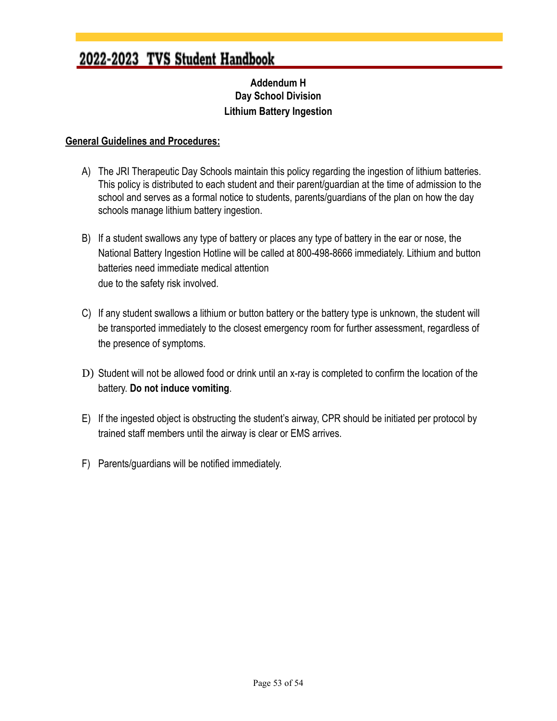#### **Addendum H Day School Division Lithium Battery Ingestion**

#### <span id="page-52-0"></span>**General Guidelines and Procedures:**

- A) The JRI Therapeutic Day Schools maintain this policy regarding the ingestion of lithium batteries. This policy is distributed to each student and their parent/guardian at the time of admission to the school and serves as a formal notice to students, parents/guardians of the plan on how the day schools manage lithium battery ingestion.
- B) If a student swallows any type of battery or places any type of battery in the ear or nose, the National Battery Ingestion Hotline will be called at 800-498-8666 immediately. Lithium and button batteries need immediate medical attention due to the safety risk involved.
- C) If any student swallows a lithium or button battery or the battery type is unknown, the student will be transported immediately to the closest emergency room for further assessment, regardless of the presence of symptoms.
- D) Student will not be allowed food or drink until an x-ray is completed to confirm the location of the battery. **Do not induce vomiting**.
- E) If the ingested object is obstructing the student's airway, CPR should be initiated per protocol by trained staff members until the airway is clear or EMS arrives.
- F) Parents/guardians will be notified immediately.